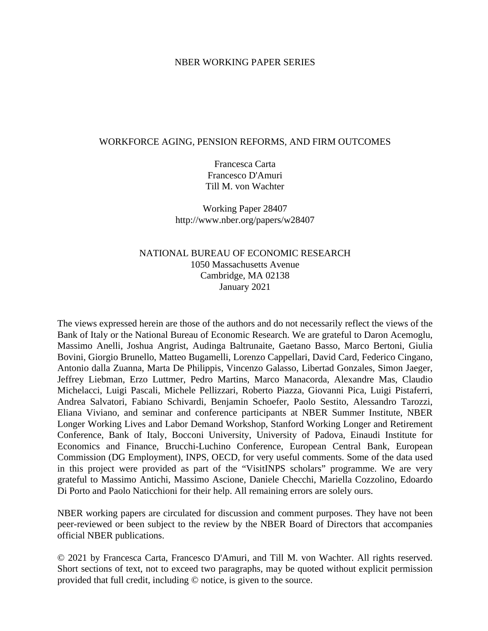#### NBER WORKING PAPER SERIES

#### WORKFORCE AGING, PENSION REFORMS, AND FIRM OUTCOMES

Francesca Carta Francesco D'Amuri Till M. von Wachter

Working Paper 28407 http://www.nber.org/papers/w28407

### NATIONAL BUREAU OF ECONOMIC RESEARCH 1050 Massachusetts Avenue Cambridge, MA 02138 January 2021

The views expressed herein are those of the authors and do not necessarily reflect the views of the Bank of Italy or the National Bureau of Economic Research. We are grateful to Daron Acemoglu, Massimo Anelli, Joshua Angrist, Audinga Baltrunaite, Gaetano Basso, Marco Bertoni, Giulia Bovini, Giorgio Brunello, Matteo Bugamelli, Lorenzo Cappellari, David Card, Federico Cingano, Antonio dalla Zuanna, Marta De Philippis, Vincenzo Galasso, Libertad Gonzales, Simon Jaeger, Jeffrey Liebman, Erzo Luttmer, Pedro Martins, Marco Manacorda, Alexandre Mas, Claudio Michelacci, Luigi Pascali, Michele Pellizzari, Roberto Piazza, Giovanni Pica, Luigi Pistaferri, Andrea Salvatori, Fabiano Schivardi, Benjamin Schoefer, Paolo Sestito, Alessandro Tarozzi, Eliana Viviano, and seminar and conference participants at NBER Summer Institute, NBER Longer Working Lives and Labor Demand Workshop, Stanford Working Longer and Retirement Conference, Bank of Italy, Bocconi University, University of Padova, Einaudi Institute for Economics and Finance, Brucchi-Luchino Conference, European Central Bank, European Commission (DG Employment), INPS, OECD, for very useful comments. Some of the data used in this project were provided as part of the "VisitINPS scholars" programme. We are very grateful to Massimo Antichi, Massimo Ascione, Daniele Checchi, Mariella Cozzolino, Edoardo Di Porto and Paolo Naticchioni for their help. All remaining errors are solely ours.

NBER working papers are circulated for discussion and comment purposes. They have not been peer-reviewed or been subject to the review by the NBER Board of Directors that accompanies official NBER publications.

© 2021 by Francesca Carta, Francesco D'Amuri, and Till M. von Wachter. All rights reserved. Short sections of text, not to exceed two paragraphs, may be quoted without explicit permission provided that full credit, including © notice, is given to the source.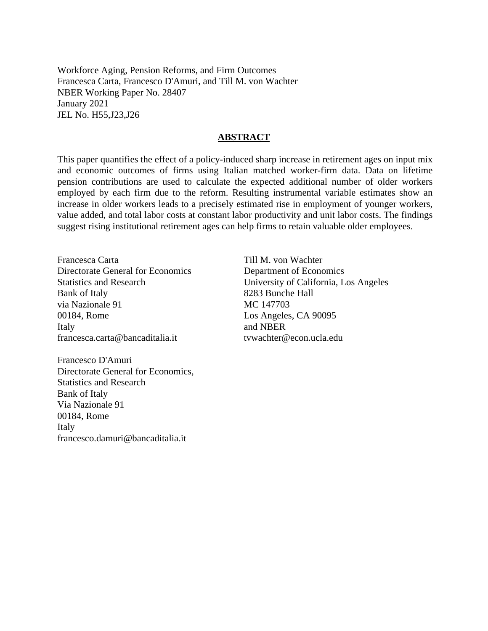Workforce Aging, Pension Reforms, and Firm Outcomes Francesca Carta, Francesco D'Amuri, and Till M. von Wachter NBER Working Paper No. 28407 January 2021 JEL No. H55,J23,J26

#### **ABSTRACT**

This paper quantifies the effect of a policy-induced sharp increase in retirement ages on input mix and economic outcomes of firms using Italian matched worker-firm data. Data on lifetime pension contributions are used to calculate the expected additional number of older workers employed by each firm due to the reform. Resulting instrumental variable estimates show an increase in older workers leads to a precisely estimated rise in employment of younger workers, value added, and total labor costs at constant labor productivity and unit labor costs. The findings suggest rising institutional retirement ages can help firms to retain valuable older employees.

Francesca Carta Directorate General for Economics Statistics and Research Bank of Italy via Nazionale 91 00184, Rome Italy francesca.carta@bancaditalia.it

Francesco D'Amuri Directorate General for Economics, Statistics and Research Bank of Italy Via Nazionale 91 00184, Rome Italy francesco.damuri@bancaditalia.it

Till M. von Wachter Department of Economics University of California, Los Angeles 8283 Bunche Hall MC 147703 Los Angeles, CA 90095 and NBER tvwachter@econ.ucla.edu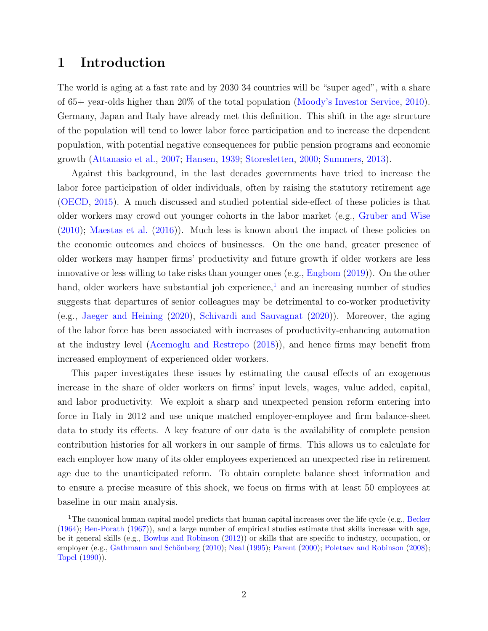## 1 Introduction

The world is aging at a fast rate and by 2030 34 countries will be "super aged", with a share of 65+ year-olds higher than 20% of the total population [\(Moody's Investor Service,](#page-30-0) [2010\)](#page-30-0). Germany, Japan and Italy have already met this definition. This shift in the age structure of the population will tend to lower labor force participation and to increase the dependent population, with potential negative consequences for public pension programs and economic growth [\(Attanasio et al.,](#page-27-0) [2007;](#page-27-0) [Hansen,](#page-28-0) [1939;](#page-28-0) [Storesletten,](#page-30-1) [2000;](#page-30-1) [Summers,](#page-30-2) [2013\)](#page-30-2).

Against this background, in the last decades governments have tried to increase the labor force participation of older individuals, often by raising the statutory retirement age [\(OECD,](#page-30-3) [2015\)](#page-30-3). A much discussed and studied potential side-effect of these policies is that older workers may crowd out younger cohorts in the labor market (e.g., [Gruber and Wise](#page-28-1) [\(2010\)](#page-28-1); [Maestas et al.](#page-29-0) [\(2016\)](#page-29-0)). Much less is known about the impact of these policies on the economic outcomes and choices of businesses. On the one hand, greater presence of older workers may hamper firms' productivity and future growth if older workers are less innovative or less willing to take risks than younger ones (e.g., [Engbom](#page-28-2) [\(2019\)](#page-28-2)). On the other hand, older workers have substantial job experience,<sup>[1](#page-2-0)</sup> and an increasing number of studies suggests that departures of senior colleagues may be detrimental to co-worker productivity (e.g., [Jaeger and Heining](#page-29-1) [\(2020\)](#page-29-1), [Schivardi and Sauvagnat](#page-30-4) [\(2020\)](#page-30-4)). Moreover, the aging of the labor force has been associated with increases of productivity-enhancing automation at the industry level [\(Acemoglu and Restrepo](#page-27-1) [\(2018\)](#page-27-1)), and hence firms may benefit from increased employment of experienced older workers.

This paper investigates these issues by estimating the causal effects of an exogenous increase in the share of older workers on firms' input levels, wages, value added, capital, and labor productivity. We exploit a sharp and unexpected pension reform entering into force in Italy in 2012 and use unique matched employer-employee and firm balance-sheet data to study its effects. A key feature of our data is the availability of complete pension contribution histories for all workers in our sample of firms. This allows us to calculate for each employer how many of its older employees experienced an unexpected rise in retirement age due to the unanticipated reform. To obtain complete balance sheet information and to ensure a precise measure of this shock, we focus on firms with at least 50 employees at baseline in our main analysis.

<span id="page-2-0"></span><sup>&</sup>lt;sup>1</sup>The canonical human capital model predicts that human capital increases over the life cycle (e.g., [Becker](#page-27-2) [\(1964\)](#page-27-2); [Ben-Porath](#page-27-3) [\(1967\)](#page-27-3)), and a large number of empirical studies estimate that skills increase with age, be it general skills (e.g., [Bowlus and Robinson](#page-27-4) [\(2012\)](#page-27-4)) or skills that are specific to industry, occupation, or employer (e.g., Gathmann and Schönberg [\(2010\)](#page-28-3); [Neal](#page-30-5) [\(1995\)](#page-30-5); [Parent](#page-30-6) [\(2000\)](#page-30-6); [Poletaev and Robinson](#page-30-7) [\(2008\)](#page-30-7); [Topel](#page-30-8) [\(1990\)](#page-30-8)).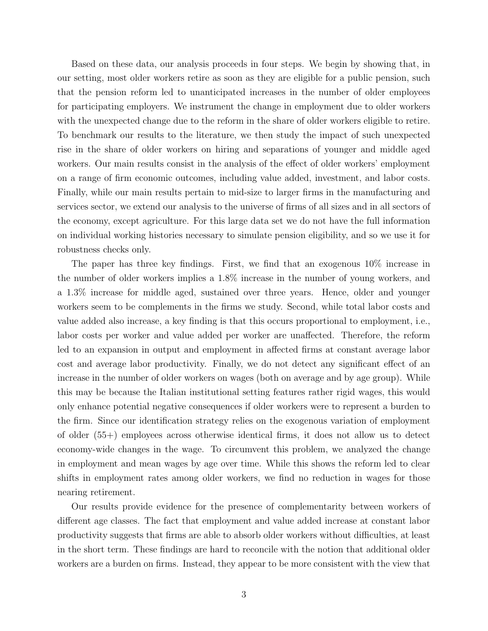Based on these data, our analysis proceeds in four steps. We begin by showing that, in our setting, most older workers retire as soon as they are eligible for a public pension, such that the pension reform led to unanticipated increases in the number of older employees for participating employers. We instrument the change in employment due to older workers with the unexpected change due to the reform in the share of older workers eligible to retire. To benchmark our results to the literature, we then study the impact of such unexpected rise in the share of older workers on hiring and separations of younger and middle aged workers. Our main results consist in the analysis of the effect of older workers' employment on a range of firm economic outcomes, including value added, investment, and labor costs. Finally, while our main results pertain to mid-size to larger firms in the manufacturing and services sector, we extend our analysis to the universe of firms of all sizes and in all sectors of the economy, except agriculture. For this large data set we do not have the full information on individual working histories necessary to simulate pension eligibility, and so we use it for robustness checks only.

The paper has three key findings. First, we find that an exogenous 10% increase in the number of older workers implies a 1.8% increase in the number of young workers, and a 1.3% increase for middle aged, sustained over three years. Hence, older and younger workers seem to be complements in the firms we study. Second, while total labor costs and value added also increase, a key finding is that this occurs proportional to employment, i.e., labor costs per worker and value added per worker are unaffected. Therefore, the reform led to an expansion in output and employment in affected firms at constant average labor cost and average labor productivity. Finally, we do not detect any significant effect of an increase in the number of older workers on wages (both on average and by age group). While this may be because the Italian institutional setting features rather rigid wages, this would only enhance potential negative consequences if older workers were to represent a burden to the firm. Since our identification strategy relies on the exogenous variation of employment of older (55+) employees across otherwise identical firms, it does not allow us to detect economy-wide changes in the wage. To circumvent this problem, we analyzed the change in employment and mean wages by age over time. While this shows the reform led to clear shifts in employment rates among older workers, we find no reduction in wages for those nearing retirement.

Our results provide evidence for the presence of complementarity between workers of different age classes. The fact that employment and value added increase at constant labor productivity suggests that firms are able to absorb older workers without difficulties, at least in the short term. These findings are hard to reconcile with the notion that additional older workers are a burden on firms. Instead, they appear to be more consistent with the view that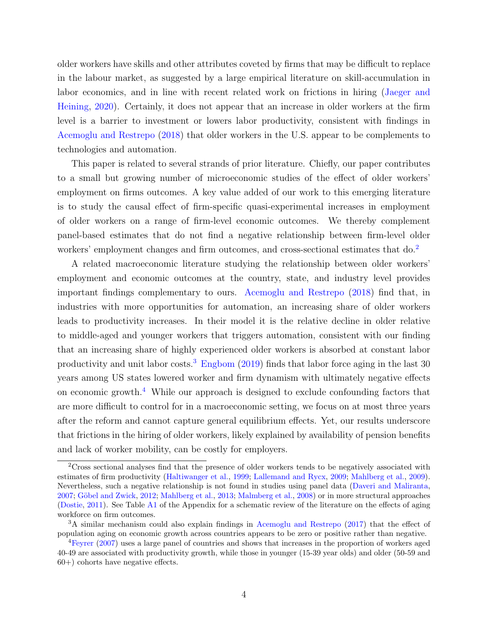older workers have skills and other attributes coveted by firms that may be difficult to replace in the labour market, as suggested by a large empirical literature on skill-accumulation in labor economics, and in line with recent related work on frictions in hiring [\(Jaeger and](#page-29-1) [Heining,](#page-29-1) [2020\)](#page-29-1). Certainly, it does not appear that an increase in older workers at the firm level is a barrier to investment or lowers labor productivity, consistent with findings in [Acemoglu and Restrepo](#page-27-1) [\(2018\)](#page-27-1) that older workers in the U.S. appear to be complements to technologies and automation.

This paper is related to several strands of prior literature. Chiefly, our paper contributes to a small but growing number of microeconomic studies of the effect of older workers' employment on firms outcomes. A key value added of our work to this emerging literature is to study the causal effect of firm-specific quasi-experimental increases in employment of older workers on a range of firm-level economic outcomes. We thereby complement panel-based estimates that do not find a negative relationship between firm-level older workers' employment changes and firm outcomes, and cross-sectional estimates that do.<sup>[2](#page-4-0)</sup>

A related macroeconomic literature studying the relationship between older workers' employment and economic outcomes at the country, state, and industry level provides important findings complementary to ours. [Acemoglu and Restrepo](#page-27-1) [\(2018\)](#page-27-1) find that, in industries with more opportunities for automation, an increasing share of older workers leads to productivity increases. In their model it is the relative decline in older relative to middle-aged and younger workers that triggers automation, consistent with our finding that an increasing share of highly experienced older workers is absorbed at constant labor productivity and unit labor costs.<sup>[3](#page-4-1)</sup> [Engbom](#page-28-2)  $(2019)$  finds that labor force aging in the last 30 years among US states lowered worker and firm dynamism with ultimately negative effects on economic growth.<sup>[4](#page-4-2)</sup> While our approach is designed to exclude confounding factors that are more difficult to control for in a macroeconomic setting, we focus on at most three years after the reform and cannot capture general equilibrium effects. Yet, our results underscore that frictions in the hiring of older workers, likely explained by availability of pension benefits and lack of worker mobility, can be costly for employers.

<span id="page-4-0"></span> $2C$ ross sectional analyses find that the presence of older workers tends to be negatively associated with estimates of firm productivity [\(Haltiwanger et al.,](#page-28-4) [1999;](#page-28-4) [Lallemand and Rycx,](#page-29-2) [2009;](#page-29-2) [Mahlberg et al.,](#page-29-3) [2009\)](#page-29-3). Nevertheless, such a negative relationship is not found in studies using panel data [\(Daveri and Maliranta,](#page-28-5) [2007;](#page-28-5) Göbel and Zwick, [2012;](#page-28-6) [Mahlberg et al.,](#page-29-4) [2013;](#page-29-4) [Malmberg et al.,](#page-29-5) [2008\)](#page-29-5) or in more structural approaches [\(Dostie,](#page-28-7) [2011\)](#page-28-7). See Table [A1](#page-48-0) of the Appendix for a schematic review of the literature on the effects of aging workforce on firm outcomes.

<span id="page-4-1"></span><sup>&</sup>lt;sup>3</sup>A similar mechanism could also explain findings in [Acemoglu and Restrepo](#page-27-5) [\(2017\)](#page-27-5) that the effect of population aging on economic growth across countries appears to be zero or positive rather than negative.

<span id="page-4-2"></span><sup>&</sup>lt;sup>4</sup>[Feyrer](#page-28-8) [\(2007\)](#page-28-8) uses a large panel of countries and shows that increases in the proportion of workers aged 40-49 are associated with productivity growth, while those in younger (15-39 year olds) and older (50-59 and 60+) cohorts have negative effects.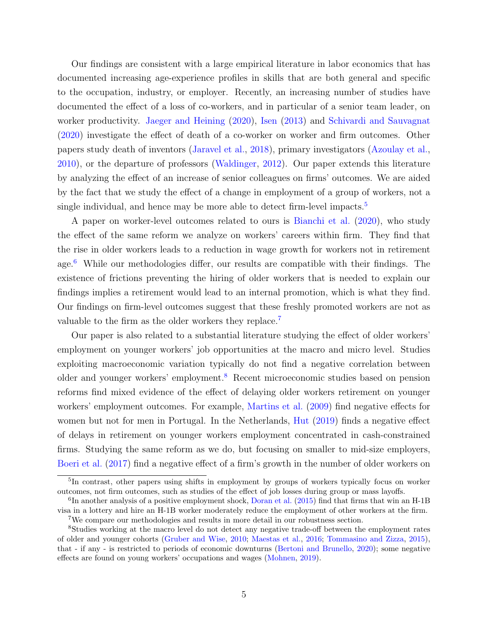Our findings are consistent with a large empirical literature in labor economics that has documented increasing age-experience profiles in skills that are both general and specific to the occupation, industry, or employer. Recently, an increasing number of studies have documented the effect of a loss of co-workers, and in particular of a senior team leader, on worker productivity. [Jaeger and Heining](#page-29-1) [\(2020\)](#page-29-1), [Isen](#page-29-6) [\(2013\)](#page-29-6) and [Schivardi and Sauvagnat](#page-30-4) [\(2020\)](#page-30-4) investigate the effect of death of a co-worker on worker and firm outcomes. Other papers study death of inventors [\(Jaravel et al.,](#page-29-7) [2018\)](#page-29-7), primary investigators [\(Azoulay et al.,](#page-27-6) [2010\)](#page-27-6), or the departure of professors [\(Waldinger,](#page-30-9) [2012\)](#page-30-9). Our paper extends this literature by analyzing the effect of an increase of senior colleagues on firms' outcomes. We are aided by the fact that we study the effect of a change in employment of a group of workers, not a single individual, and hence may be more able to detect firm-level impacts.<sup>[5](#page-5-0)</sup>

A paper on worker-level outcomes related to ours is [Bianchi et al.](#page-27-7) [\(2020\)](#page-27-7), who study the effect of the same reform we analyze on workers' careers within firm. They find that the rise in older workers leads to a reduction in wage growth for workers not in retirement age. $6$  While our methodologies differ, our results are compatible with their findings. The existence of frictions preventing the hiring of older workers that is needed to explain our findings implies a retirement would lead to an internal promotion, which is what they find. Our findings on firm-level outcomes suggest that these freshly promoted workers are not as valuable to the firm as the older workers they replace.<sup>[7](#page-5-2)</sup>

Our paper is also related to a substantial literature studying the effect of older workers' employment on younger workers' job opportunities at the macro and micro level. Studies exploiting macroeconomic variation typically do not find a negative correlation between older and younger workers' employment.[8](#page-5-3) Recent microeconomic studies based on pension reforms find mixed evidence of the effect of delaying older workers retirement on younger workers' employment outcomes. For example, [Martins et al.](#page-29-8) [\(2009\)](#page-29-8) find negative effects for women but not for men in Portugal. In the Netherlands, [Hut](#page-28-9) [\(2019\)](#page-28-9) finds a negative effect of delays in retirement on younger workers employment concentrated in cash-constrained firms. Studying the same reform as we do, but focusing on smaller to mid-size employers, [Boeri et al.](#page-27-8) [\(2017\)](#page-27-8) find a negative effect of a firm's growth in the number of older workers on

<span id="page-5-0"></span><sup>&</sup>lt;sup>5</sup>In contrast, other papers using shifts in employment by groups of workers typically focus on worker outcomes, not firm outcomes, such as studies of the effect of job losses during group or mass layoffs.

<span id="page-5-1"></span><sup>&</sup>lt;sup>6</sup>In another analysis of a positive employment shock, [Doran et al.](#page-28-10) [\(2015\)](#page-28-10) find that firms that win an H-1B visa in a lottery and hire an H-1B worker moderately reduce the employment of other workers at the firm. <sup>7</sup>We compare our methodologies and results in more detail in our robustness section.

<span id="page-5-3"></span><span id="page-5-2"></span><sup>8</sup>Studies working at the macro level do not detect any negative trade-off between the employment rates of older and younger cohorts [\(Gruber and Wise,](#page-28-1) [2010;](#page-28-1) [Maestas et al.,](#page-29-0) [2016;](#page-29-0) [Tommasino and Zizza,](#page-30-10) [2015\)](#page-30-10), that - if any - is restricted to periods of economic downturns [\(Bertoni and Brunello,](#page-27-9) [2020\)](#page-27-9); some negative effects are found on young workers' occupations and wages [\(Mohnen,](#page-29-9) [2019\)](#page-29-9).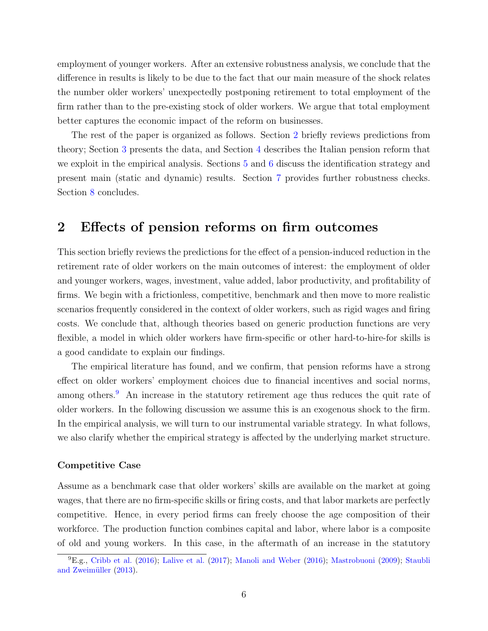employment of younger workers. After an extensive robustness analysis, we conclude that the difference in results is likely to be due to the fact that our main measure of the shock relates the number older workers' unexpectedly postponing retirement to total employment of the firm rather than to the pre-existing stock of older workers. We argue that total employment better captures the economic impact of the reform on businesses.

The rest of the paper is organized as follows. Section [2](#page-6-0) briefly reviews predictions from theory; Section [3](#page-9-0) presents the data, and Section [4](#page-10-0) describes the Italian pension reform that we exploit in the empirical analysis. Sections  $5$  and  $6$  discuss the identification strategy and present main (static and dynamic) results. Section [7](#page-22-0) provides further robustness checks. Section [8](#page-25-0) concludes.

# <span id="page-6-0"></span>2 Effects of pension reforms on firm outcomes

This section briefly reviews the predictions for the effect of a pension-induced reduction in the retirement rate of older workers on the main outcomes of interest: the employment of older and younger workers, wages, investment, value added, labor productivity, and profitability of firms. We begin with a frictionless, competitive, benchmark and then move to more realistic scenarios frequently considered in the context of older workers, such as rigid wages and firing costs. We conclude that, although theories based on generic production functions are very flexible, a model in which older workers have firm-specific or other hard-to-hire-for skills is a good candidate to explain our findings.

The empirical literature has found, and we confirm, that pension reforms have a strong effect on older workers' employment choices due to financial incentives and social norms, among others.<sup>[9](#page-6-1)</sup> An increase in the statutory retirement age thus reduces the quit rate of older workers. In the following discussion we assume this is an exogenous shock to the firm. In the empirical analysis, we will turn to our instrumental variable strategy. In what follows, we also clarify whether the empirical strategy is affected by the underlying market structure.

#### Competitive Case

Assume as a benchmark case that older workers' skills are available on the market at going wages, that there are no firm-specific skills or firing costs, and that labor markets are perfectly competitive. Hence, in every period firms can freely choose the age composition of their workforce. The production function combines capital and labor, where labor is a composite of old and young workers. In this case, in the aftermath of an increase in the statutory

<span id="page-6-1"></span> ${}^{9}E.g.,$  [Cribb et al.](#page-28-11) [\(2016\)](#page-29-11); [Lalive et al.](#page-29-10) [\(2017\)](#page-29-10); [Manoli and Weber](#page-29-11) (2016); [Mastrobuoni](#page-29-12) [\(2009\)](#page-29-12); [Staubli](#page-30-11) and Zweimüller  $(2013)$ .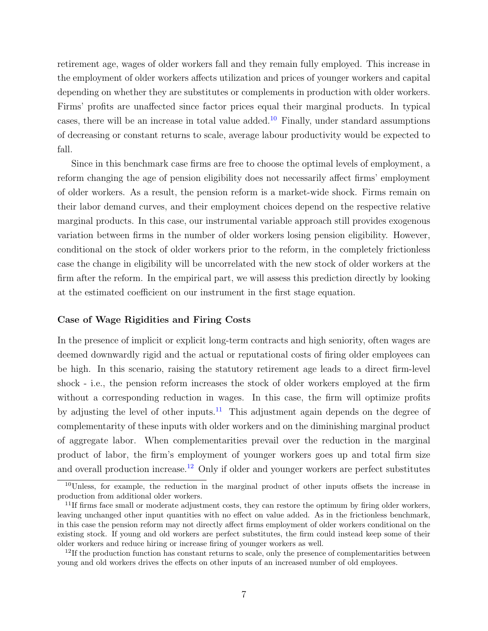retirement age, wages of older workers fall and they remain fully employed. This increase in the employment of older workers affects utilization and prices of younger workers and capital depending on whether they are substitutes or complements in production with older workers. Firms' profits are unaffected since factor prices equal their marginal products. In typical cases, there will be an increase in total value added.<sup>[10](#page-7-0)</sup> Finally, under standard assumptions of decreasing or constant returns to scale, average labour productivity would be expected to fall.

Since in this benchmark case firms are free to choose the optimal levels of employment, a reform changing the age of pension eligibility does not necessarily affect firms' employment of older workers. As a result, the pension reform is a market-wide shock. Firms remain on their labor demand curves, and their employment choices depend on the respective relative marginal products. In this case, our instrumental variable approach still provides exogenous variation between firms in the number of older workers losing pension eligibility. However, conditional on the stock of older workers prior to the reform, in the completely frictionless case the change in eligibility will be uncorrelated with the new stock of older workers at the firm after the reform. In the empirical part, we will assess this prediction directly by looking at the estimated coefficient on our instrument in the first stage equation.

#### Case of Wage Rigidities and Firing Costs

In the presence of implicit or explicit long-term contracts and high seniority, often wages are deemed downwardly rigid and the actual or reputational costs of firing older employees can be high. In this scenario, raising the statutory retirement age leads to a direct firm-level shock - i.e., the pension reform increases the stock of older workers employed at the firm without a corresponding reduction in wages. In this case, the firm will optimize profits by adjusting the level of other inputs.<sup>[11](#page-7-1)</sup> This adjustment again depends on the degree of complementarity of these inputs with older workers and on the diminishing marginal product of aggregate labor. When complementarities prevail over the reduction in the marginal product of labor, the firm's employment of younger workers goes up and total firm size and overall production increase.<sup>[12](#page-7-2)</sup> Only if older and younger workers are perfect substitutes

<span id="page-7-0"></span><sup>10</sup>Unless, for example, the reduction in the marginal product of other inputs offsets the increase in production from additional older workers.

<span id="page-7-1"></span> $11$ If firms face small or moderate adjustment costs, they can restore the optimum by firing older workers, leaving unchanged other input quantities with no effect on value added. As in the frictionless benchmark, in this case the pension reform may not directly affect firms employment of older workers conditional on the existing stock. If young and old workers are perfect substitutes, the firm could instead keep some of their older workers and reduce hiring or increase firing of younger workers as well.

<span id="page-7-2"></span> $12$ If the production function has constant returns to scale, only the presence of complementarities between young and old workers drives the effects on other inputs of an increased number of old employees.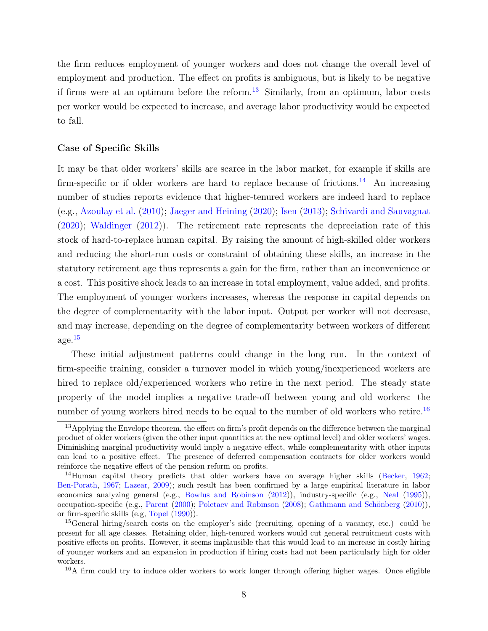the firm reduces employment of younger workers and does not change the overall level of employment and production. The effect on profits is ambiguous, but is likely to be negative if firms were at an optimum before the reform.<sup>[13](#page-8-0)</sup> Similarly, from an optimum, labor costs per worker would be expected to increase, and average labor productivity would be expected to fall.

#### Case of Specific Skills

It may be that older workers' skills are scarce in the labor market, for example if skills are firm-specific or if older workers are hard to replace because of frictions.<sup>[14](#page-8-1)</sup> An increasing number of studies reports evidence that higher-tenured workers are indeed hard to replace (e.g., [Azoulay et al.](#page-27-6) [\(2010\)](#page-27-6); [Jaeger and Heining](#page-29-1) [\(2020\)](#page-29-1); [Isen](#page-29-6) [\(2013\)](#page-29-6); [Schivardi and Sauvagnat](#page-30-4) [\(2020\)](#page-30-4); [Waldinger](#page-30-9) [\(2012\)](#page-30-9)). The retirement rate represents the depreciation rate of this stock of hard-to-replace human capital. By raising the amount of high-skilled older workers and reducing the short-run costs or constraint of obtaining these skills, an increase in the statutory retirement age thus represents a gain for the firm, rather than an inconvenience or a cost. This positive shock leads to an increase in total employment, value added, and profits. The employment of younger workers increases, whereas the response in capital depends on the degree of complementarity with the labor input. Output per worker will not decrease, and may increase, depending on the degree of complementarity between workers of different  $\rm age.^{15}$  $\rm age.^{15}$  $\rm age.^{15}$ 

These initial adjustment patterns could change in the long run. In the context of firm-specific training, consider a turnover model in which young/inexperienced workers are hired to replace old/experienced workers who retire in the next period. The steady state property of the model implies a negative trade-off between young and old workers: the number of young workers hired needs to be equal to the number of old workers who retire.<sup>[16](#page-8-3)</sup>

<span id="page-8-0"></span><sup>&</sup>lt;sup>13</sup>Applying the Envelope theorem, the effect on firm's profit depends on the difference between the marginal product of older workers (given the other input quantities at the new optimal level) and older workers' wages. Diminishing marginal productivity would imply a negative effect, while complementarity with other inputs can lead to a positive effect. The presence of deferred compensation contracts for older workers would reinforce the negative effect of the pension reform on profits.

<span id="page-8-1"></span><sup>&</sup>lt;sup>14</sup>Human capital theory predicts that older workers have on average higher skills [\(Becker,](#page-27-10) [1962;](#page-27-10) [Ben-Porath,](#page-27-3) [1967;](#page-27-3) [Lazear,](#page-29-13) [2009\)](#page-29-13); such result has been confirmed by a large empirical literature in labor economics analyzing general (e.g., [Bowlus and Robinson](#page-27-4) [\(2012\)](#page-27-4)), industry-specific (e.g., [Neal](#page-30-5) [\(1995\)](#page-30-5)), occupation-specific (e.g., [Parent](#page-30-6) [\(2000\)](#page-30-6); [Poletaev and Robinson](#page-30-7) [\(2008\)](#page-30-7); Gathmann and Schönberg [\(2010\)](#page-28-3)), or firm-specific skills (e.g, [Topel](#page-30-8) [\(1990\)](#page-30-8)).

<span id="page-8-2"></span><sup>&</sup>lt;sup>15</sup>General hiring/search costs on the employer's side (recruiting, opening of a vacancy, etc.) could be present for all age classes. Retaining older, high-tenured workers would cut general recruitment costs with positive effects on profits. However, it seems implausible that this would lead to an increase in costly hiring of younger workers and an expansion in production if hiring costs had not been particularly high for older workers.

<span id="page-8-3"></span> $16A$  firm could try to induce older workers to work longer through offering higher wages. Once eligible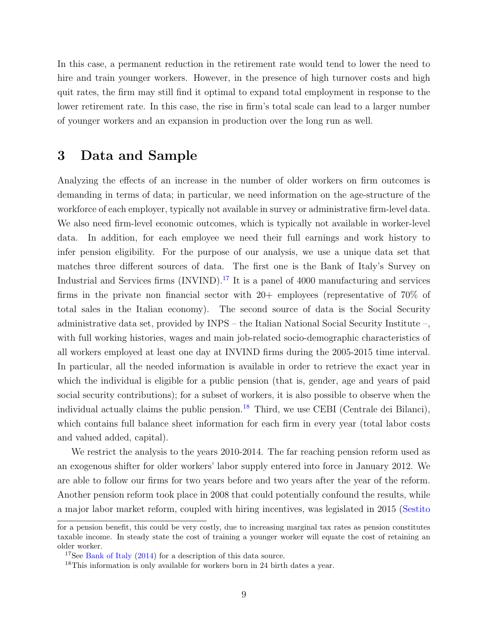In this case, a permanent reduction in the retirement rate would tend to lower the need to hire and train younger workers. However, in the presence of high turnover costs and high quit rates, the firm may still find it optimal to expand total employment in response to the lower retirement rate. In this case, the rise in firm's total scale can lead to a larger number of younger workers and an expansion in production over the long run as well.

## <span id="page-9-0"></span>3 Data and Sample

Analyzing the effects of an increase in the number of older workers on firm outcomes is demanding in terms of data; in particular, we need information on the age-structure of the workforce of each employer, typically not available in survey or administrative firm-level data. We also need firm-level economic outcomes, which is typically not available in worker-level data. In addition, for each employee we need their full earnings and work history to infer pension eligibility. For the purpose of our analysis, we use a unique data set that matches three different sources of data. The first one is the Bank of Italy's Survey on Industrial and Services firms  $(INVIND)^{17}$  $(INVIND)^{17}$  $(INVIND)^{17}$  It is a panel of 4000 manufacturing and services firms in the private non financial sector with  $20+$  employees (representative of  $70\%$  of total sales in the Italian economy). The second source of data is the Social Security administrative data set, provided by INPS – the Italian National Social Security Institute –, with full working histories, wages and main job-related socio-demographic characteristics of all workers employed at least one day at INVIND firms during the 2005-2015 time interval. In particular, all the needed information is available in order to retrieve the exact year in which the individual is eligible for a public pension (that is, gender, age and years of paid social security contributions); for a subset of workers, it is also possible to observe when the individual actually claims the public pension.<sup>[18](#page-9-2)</sup> Third, we use CEBI (Centrale dei Bilanci), which contains full balance sheet information for each firm in every year (total labor costs and valued added, capital).

We restrict the analysis to the years 2010-2014. The far reaching pension reform used as an exogenous shifter for older workers' labor supply entered into force in January 2012. We are able to follow our firms for two years before and two years after the year of the reform. Another pension reform took place in 2008 that could potentially confound the results, while a major labor market reform, coupled with hiring incentives, was legislated in 2015 [\(Sestito](#page-30-12)

[for a pension benefit, this could be very costly, due to increasing marginal tax rates as pension constitutes](#page-30-12) [taxable income. In steady state the cost of training a younger worker will equate the cost of retaining an](#page-30-12) [older worker.](#page-30-12)

<span id="page-9-1"></span><sup>&</sup>lt;sup>17</sup>See [Bank of Italy](#page-27-11) [\(2014\) for a description of this data source.](#page-30-12)

<span id="page-9-2"></span><sup>&</sup>lt;sup>18</sup>[This information is only available for workers born in 24 birth dates a year.](#page-30-12)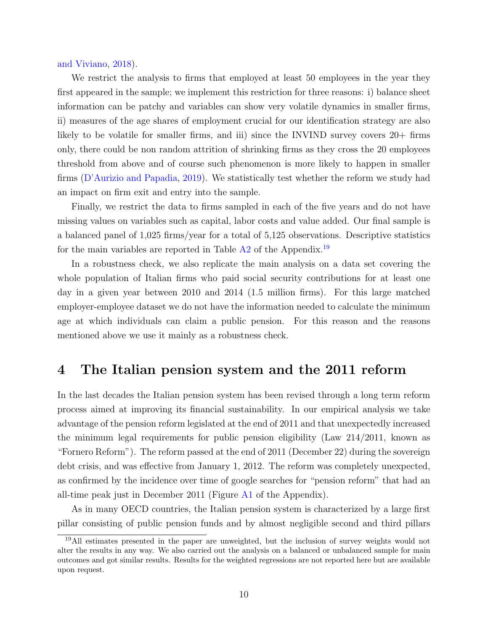[and Viviano,](#page-30-12) [2018\)](#page-30-12).

We restrict the analysis to firms that employed at least 50 employees in the year they first appeared in the sample; we implement this restriction for three reasons: i) balance sheet information can be patchy and variables can show very volatile dynamics in smaller firms, ii) measures of the age shares of employment crucial for our identification strategy are also likely to be volatile for smaller firms, and iii) since the INVIND survey covers 20+ firms only, there could be non random attrition of shrinking firms as they cross the 20 employees threshold from above and of course such phenomenon is more likely to happen in smaller firms [\(D'Aurizio and Papadia,](#page-28-12) [2019\)](#page-28-12). We statistically test whether the reform we study had an impact on firm exit and entry into the sample.

Finally, we restrict the data to firms sampled in each of the five years and do not have missing values on variables such as capital, labor costs and value added. Our final sample is a balanced panel of 1,025 firms/year for a total of 5,125 observations. Descriptive statistics for the main variables are reported in Table  $A2$  of the Appendix.<sup>[19](#page-10-1)</sup>

In a robustness check, we also replicate the main analysis on a data set covering the whole population of Italian firms who paid social security contributions for at least one day in a given year between 2010 and 2014 (1.5 million firms). For this large matched employer-employee dataset we do not have the information needed to calculate the minimum age at which individuals can claim a public pension. For this reason and the reasons mentioned above we use it mainly as a robustness check.

## <span id="page-10-0"></span>4 The Italian pension system and the 2011 reform

In the last decades the Italian pension system has been revised through a long term reform process aimed at improving its financial sustainability. In our empirical analysis we take advantage of the pension reform legislated at the end of 2011 and that unexpectedly increased the minimum legal requirements for public pension eligibility (Law 214/2011, known as "Fornero Reform"). The reform passed at the end of 2011 (December 22) during the sovereign debt crisis, and was effective from January 1, 2012. The reform was completely unexpected, as confirmed by the incidence over time of google searches for "pension reform" that had an all-time peak just in December 2011 (Figure [A1](#page-45-0) of the Appendix).

As in many OECD countries, the Italian pension system is characterized by a large first pillar consisting of public pension funds and by almost negligible second and third pillars

<span id="page-10-1"></span><sup>&</sup>lt;sup>19</sup>All estimates presented in the paper are unweighted, but the inclusion of survey weights would not alter the results in any way. We also carried out the analysis on a balanced or unbalanced sample for main outcomes and got similar results. Results for the weighted regressions are not reported here but are available upon request.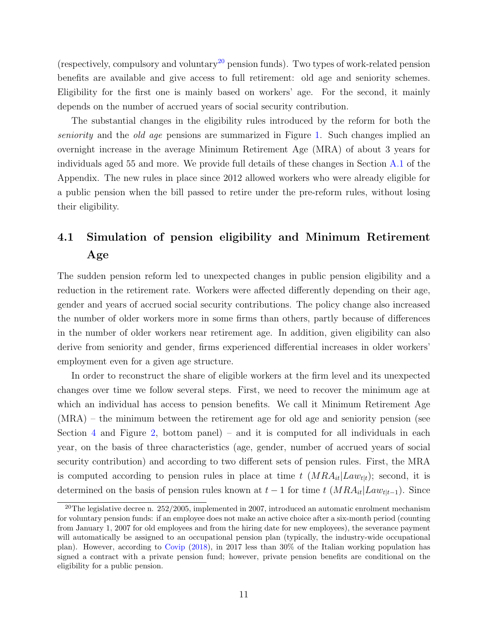(respectively, compulsory and voluntary<sup>[20](#page-11-0)</sup> pension funds). Two types of work-related pension benefits are available and give access to full retirement: old age and seniority schemes. Eligibility for the first one is mainly based on workers' age. For the second, it mainly depends on the number of accrued years of social security contribution.

The substantial changes in the eligibility rules introduced by the reform for both the seniority and the old age pensions are summarized in Figure [1.](#page-31-0) Such changes implied an overnight increase in the average Minimum Retirement Age (MRA) of about 3 years for individuals aged 55 and more. We provide full details of these changes in Section [A.1](#page-44-0) of the Appendix. The new rules in place since 2012 allowed workers who were already eligible for a public pension when the bill passed to retire under the pre-reform rules, without losing their eligibility.

# 4.1 Simulation of pension eligibility and Minimum Retirement Age

The sudden pension reform led to unexpected changes in public pension eligibility and a reduction in the retirement rate. Workers were affected differently depending on their age, gender and years of accrued social security contributions. The policy change also increased the number of older workers more in some firms than others, partly because of differences in the number of older workers near retirement age. In addition, given eligibility can also derive from seniority and gender, firms experienced differential increases in older workers' employment even for a given age structure.

In order to reconstruct the share of eligible workers at the firm level and its unexpected changes over time we follow several steps. First, we need to recover the minimum age at which an individual has access to pension benefits. We call it Minimum Retirement Age (MRA) – the minimum between the retirement age for old age and seniority pension (see Section [4](#page-10-0) and Figure [2,](#page-32-0) bottom panel) – and it is computed for all individuals in each year, on the basis of three characteristics (age, gender, number of accrued years of social security contribution) and according to two different sets of pension rules. First, the MRA is computed according to pension rules in place at time t  $(MRA_{it}|Law_{t|t})$ ; second, it is determined on the basis of pension rules known at  $t-1$  for time  $t$  ( $MRA_{it}|Law_{t|t-1}$ ). Since

<span id="page-11-0"></span><sup>&</sup>lt;sup>20</sup>The legislative decree n. 252/2005, implemented in 2007, introduced an automatic enrolment mechanism for voluntary pension funds: if an employee does not make an active choice after a six-month period (counting from January 1, 2007 for old employees and from the hiring date for new employees), the severance payment will automatically be assigned to an occupational pension plan (typically, the industry-wide occupational plan). However, according to [Covip](#page-28-13) [\(2018\)](#page-28-13), in 2017 less than 30% of the Italian working population has signed a contract with a private pension fund; however, private pension benefits are conditional on the eligibility for a public pension.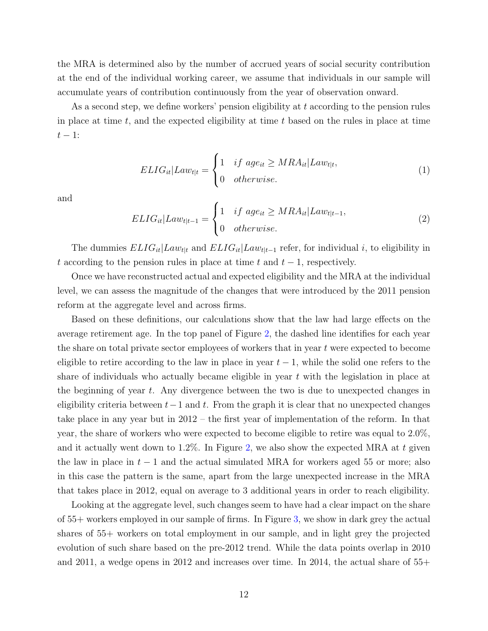the MRA is determined also by the number of accrued years of social security contribution at the end of the individual working career, we assume that individuals in our sample will accumulate years of contribution continuously from the year of observation onward.

As a second step, we define workers' pension eligibility at t according to the pension rules in place at time  $t$ , and the expected eligibility at time  $t$  based on the rules in place at time  $t-1$ :

$$
ELIG_{it}|Law_{t|t} = \begin{cases} 1 & if \ age_{it} \ge MRA_{it}|Law_{t|t}, \\ 0 & otherwise. \end{cases}
$$
 (1)

and

$$
ELIG_{it}|Law_{t|t-1} = \begin{cases} 1 & if \ age_{it} \ge MRA_{it}|Law_{t|t-1}, \\ 0 & otherwise. \end{cases}
$$
 (2)

The dummies  $ELIG_{it}|Law_{t|t}$  and  $ELIG_{it}|Law_{t|t-1}$  refer, for individual i, to eligibility in t according to the pension rules in place at time t and  $t-1$ , respectively.

Once we have reconstructed actual and expected eligibility and the MRA at the individual level, we can assess the magnitude of the changes that were introduced by the 2011 pension reform at the aggregate level and across firms.

Based on these definitions, our calculations show that the law had large effects on the average retirement age. In the top panel of Figure [2,](#page-32-0) the dashed line identifies for each year the share on total private sector employees of workers that in year t were expected to become eligible to retire according to the law in place in year  $t-1$ , while the solid one refers to the share of individuals who actually became eligible in year  $t$  with the legislation in place at the beginning of year  $t$ . Any divergence between the two is due to unexpected changes in eligibility criteria between  $t-1$  and t. From the graph it is clear that no unexpected changes take place in any year but in 2012 – the first year of implementation of the reform. In that year, the share of workers who were expected to become eligible to retire was equal to 2.0%, and it actually went down to  $1.2\%$ . In Figure [2,](#page-32-0) we also show the expected MRA at t given the law in place in  $t-1$  and the actual simulated MRA for workers aged 55 or more; also in this case the pattern is the same, apart from the large unexpected increase in the MRA that takes place in 2012, equal on average to 3 additional years in order to reach eligibility.

Looking at the aggregate level, such changes seem to have had a clear impact on the share of 55+ workers employed in our sample of firms. In Figure [3,](#page-33-0) we show in dark grey the actual shares of 55+ workers on total employment in our sample, and in light grey the projected evolution of such share based on the pre-2012 trend. While the data points overlap in 2010 and 2011, a wedge opens in 2012 and increases over time. In 2014, the actual share of 55+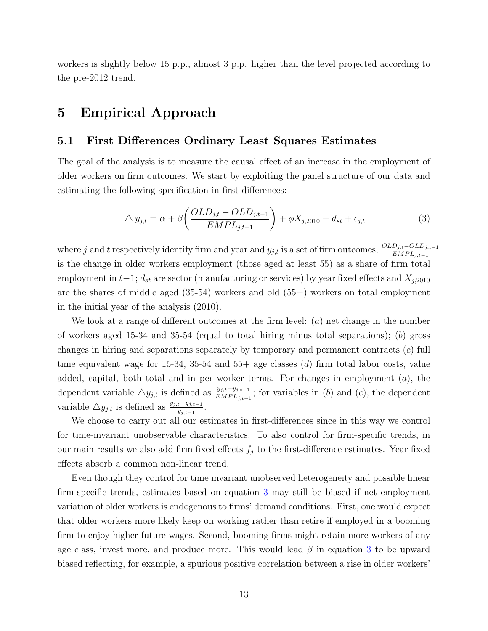workers is slightly below 15 p.p., almost 3 p.p. higher than the level projected according to the pre-2012 trend.

## <span id="page-13-0"></span>5 Empirical Approach

### 5.1 First Differences Ordinary Least Squares Estimates

The goal of the analysis is to measure the causal effect of an increase in the employment of older workers on firm outcomes. We start by exploiting the panel structure of our data and estimating the following specification in first differences:

<span id="page-13-1"></span>
$$
\Delta y_{j,t} = \alpha + \beta \left( \frac{OLD_{j,t} - OLD_{j,t-1}}{EMPL_{j,t-1}} \right) + \phi X_{j,2010} + d_{st} + \epsilon_{j,t}
$$
\n(3)

where j and t respectively identify firm and year and  $y_{j,t}$  is a set of firm outcomes;  $\frac{OLD_{j,t} -OLD_{j,t-1}}{EMPL_{j,t-1}}$ is the change in older workers employment (those aged at least 55) as a share of firm total employment in  $t-1$ ;  $d_{st}$  are sector (manufacturing or services) by year fixed effects and  $X_{j,2010}$ are the shares of middle aged  $(35-54)$  workers and old  $(55+)$  workers on total employment in the initial year of the analysis (2010).

We look at a range of different outcomes at the firm level:  $(a)$  net change in the number of workers aged 15-34 and 35-54 (equal to total hiring minus total separations); (b) gross changes in hiring and separations separately by temporary and permanent contracts  $(c)$  full time equivalent wage for 15-34, 35-54 and 55+ age classes  $(d)$  firm total labor costs, value added, capital, both total and in per worker terms. For changes in employment (a), the dependent variable  $\triangle y_{j,t}$  is defined as  $\frac{y_{j,t}-y_{j,t-1}}{EMPL_{j,t-1}}$ ; for variables in (b) and (c), the dependent variable  $\triangle y_{j,t}$  is defined as  $\frac{y_{j,t}-y_{j,t-1}}{y_{j,t-1}}$ .

We choose to carry out all our estimates in first-differences since in this way we control for time-invariant unobservable characteristics. To also control for firm-specific trends, in our main results we also add firm fixed effects  $f_j$  to the first-difference estimates. Year fixed effects absorb a common non-linear trend.

Even though they control for time invariant unobserved heterogeneity and possible linear firm-specific trends, estimates based on equation [3](#page-13-1) may still be biased if net employment variation of older workers is endogenous to firms' demand conditions. First, one would expect that older workers more likely keep on working rather than retire if employed in a booming firm to enjoy higher future wages. Second, booming firms might retain more workers of any age class, invest more, and produce more. This would lead  $\beta$  in equation [3](#page-13-1) to be upward biased reflecting, for example, a spurious positive correlation between a rise in older workers'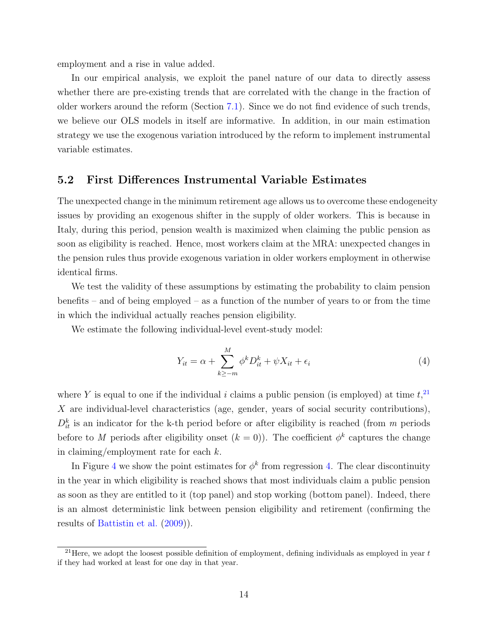employment and a rise in value added.

In our empirical analysis, we exploit the panel nature of our data to directly assess whether there are pre-existing trends that are correlated with the change in the fraction of older workers around the reform (Section [7.1\)](#page-22-1). Since we do not find evidence of such trends, we believe our OLS models in itself are informative. In addition, in our main estimation strategy we use the exogenous variation introduced by the reform to implement instrumental variable estimates.

### <span id="page-14-2"></span>5.2 First Differences Instrumental Variable Estimates

The unexpected change in the minimum retirement age allows us to overcome these endogeneity issues by providing an exogenous shifter in the supply of older workers. This is because in Italy, during this period, pension wealth is maximized when claiming the public pension as soon as eligibility is reached. Hence, most workers claim at the MRA: unexpected changes in the pension rules thus provide exogenous variation in older workers employment in otherwise identical firms.

We test the validity of these assumptions by estimating the probability to claim pension benefits – and of being employed – as a function of the number of years to or from the time in which the individual actually reaches pension eligibility.

We estimate the following individual-level event-study model:

<span id="page-14-1"></span>
$$
Y_{it} = \alpha + \sum_{k \ge -m}^{M} \phi^k D_{it}^k + \psi X_{it} + \epsilon_i \tag{4}
$$

where Y is equal to one if the individual i claims a public pension (is employed) at time  $t<sub>1</sub><sup>21</sup>$  $t<sub>1</sub><sup>21</sup>$  $t<sub>1</sub><sup>21</sup>$ X are individual-level characteristics (age, gender, years of social security contributions),  $D_{it}^{k}$  is an indicator for the k-th period before or after eligibility is reached (from m periods before to M periods after eligibility onset  $(k = 0)$ ). The coefficient  $\phi^k$  captures the change in claiming/employment rate for each  $k$ .

In Figure [4](#page-34-0) we show the point estimates for  $\phi^k$  from regression [4.](#page-14-1) The clear discontinuity in the year in which eligibility is reached shows that most individuals claim a public pension as soon as they are entitled to it (top panel) and stop working (bottom panel). Indeed, there is an almost deterministic link between pension eligibility and retirement (confirming the results of [Battistin et al.](#page-27-12) [\(2009\)](#page-27-12)).

<span id="page-14-0"></span><sup>&</sup>lt;sup>21</sup>Here, we adopt the loosest possible definition of employment, defining individuals as employed in year  $t$ if they had worked at least for one day in that year.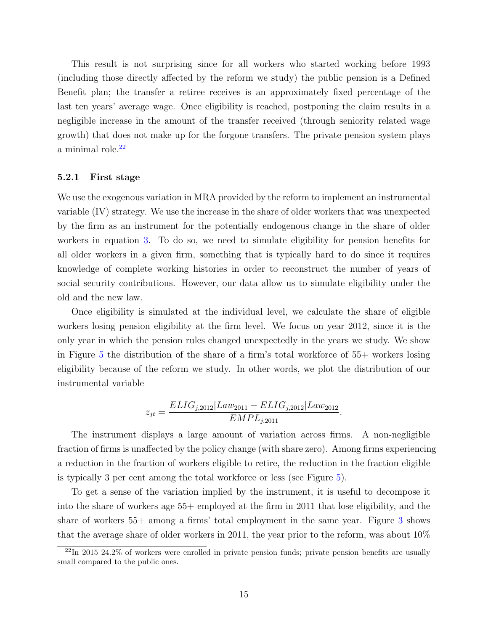This result is not surprising since for all workers who started working before 1993 (including those directly affected by the reform we study) the public pension is a Defined Benefit plan; the transfer a retiree receives is an approximately fixed percentage of the last ten years' average wage. Once eligibility is reached, postponing the claim results in a negligible increase in the amount of the transfer received (through seniority related wage growth) that does not make up for the forgone transfers. The private pension system plays a minimal role.<sup>[22](#page-15-0)</sup>

#### 5.2.1 First stage

We use the exogenous variation in MRA provided by the reform to implement an instrumental variable (IV) strategy. We use the increase in the share of older workers that was unexpected by the firm as an instrument for the potentially endogenous change in the share of older workers in equation [3.](#page-13-1) To do so, we need to simulate eligibility for pension benefits for all older workers in a given firm, something that is typically hard to do since it requires knowledge of complete working histories in order to reconstruct the number of years of social security contributions. However, our data allow us to simulate eligibility under the old and the new law.

Once eligibility is simulated at the individual level, we calculate the share of eligible workers losing pension eligibility at the firm level. We focus on year 2012, since it is the only year in which the pension rules changed unexpectedly in the years we study. We show in Figure [5](#page-35-0) the distribution of the share of a firm's total workforce of 55+ workers losing eligibility because of the reform we study. In other words, we plot the distribution of our instrumental variable

$$
z_{jt} = \frac{ELIG_{j,2012}|Law_{2011} - ELIG_{j,2012}|Law_{2012}}{EMPL_{j,2011}}.
$$

The instrument displays a large amount of variation across firms. A non-negligible fraction of firms is unaffected by the policy change (with share zero). Among firms experiencing a reduction in the fraction of workers eligible to retire, the reduction in the fraction eligible is typically 3 per cent among the total workforce or less (see Figure [5\)](#page-35-0).

To get a sense of the variation implied by the instrument, it is useful to decompose it into the share of workers age 55+ employed at the firm in 2011 that lose eligibility, and the share of workers 55+ among a firms' total employment in the same year. Figure [3](#page-33-0) shows that the average share of older workers in 2011, the year prior to the reform, was about 10%

<span id="page-15-0"></span><sup>22</sup>In 2015 24.2% of workers were enrolled in private pension funds; private pension benefits are usually small compared to the public ones.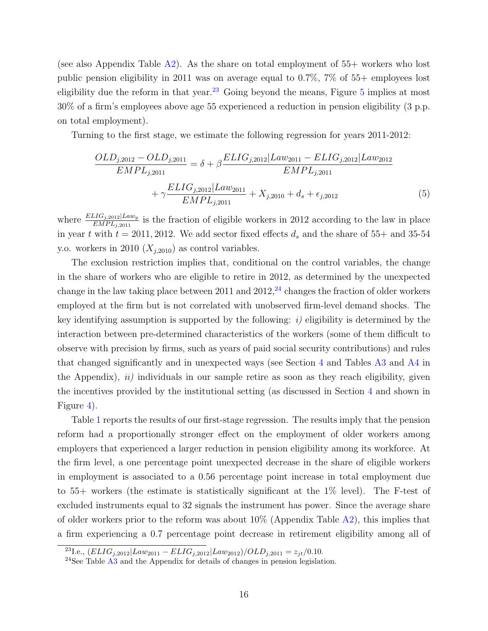(see also Appendix Table  $\mathbf{A}2$ ). As the share on total employment of 55+ workers who lost public pension eligibility in 2011 was on average equal to 0.7%, 7% of 55+ employees lost eligibility due the reform in that year.<sup>[23](#page-16-0)</sup> Going beyond the means, Figure [5](#page-35-0) implies at most 30% of a firm's employees above age 55 experienced a reduction in pension eligibility (3 p.p. on total employment).

Turning to the first stage, we estimate the following regression for years 2011-2012:

<span id="page-16-2"></span>
$$
\frac{OLD_{j,2012} -OLD_{j,2011}}{EMP_{j,2011}} = \delta + \beta \frac{ELIG_{j,2012} | Law_{2011} - ELIG_{j,2012} | Law_{2012}}{EMP_{j,2011}} + \gamma \frac{ELIG_{j,2012} | Law_{2011}}{EMP_{j,2011}} + X_{j,2010} + d_s + \epsilon_{j,2012}
$$
\n(5)

where  $\frac{ELIG_{j,2012}|Law_y}{EMPL_{j,2011}}$  is the fraction of eligible workers in 2012 according to the law in place in year t with  $t = 2011, 2012$ . We add sector fixed effects  $d_s$  and the share of 55+ and 35-54 y.o. workers in 2010  $(X_{j,2010})$  as control variables.

The exclusion restriction implies that, conditional on the control variables, the change in the share of workers who are eligible to retire in 2012, as determined by the unexpected change in the law taking place between 2011 and  $2012<sup>24</sup>$  $2012<sup>24</sup>$  $2012<sup>24</sup>$  changes the fraction of older workers employed at the firm but is not correlated with unobserved firm-level demand shocks. The key identifying assumption is supported by the following:  $i$ ) eligibility is determined by the interaction between pre-determined characteristics of the workers (some of them difficult to observe with precision by firms, such as years of paid social security contributions) and rules that changed significantly and in unexpected ways (see Section [4](#page-10-0) and Tables [A3](#page-52-0) and [A4](#page-52-1) in the Appendix),  $ii)$  individuals in our sample retire as soon as they reach eligibility, given the incentives provided by the institutional setting (as discussed in Section [4](#page-10-0) and shown in Figure [4\)](#page-34-0).

Table [1](#page-38-0) reports the results of our first-stage regression. The results imply that the pension reform had a proportionally stronger effect on the employment of older workers among employers that experienced a larger reduction in pension eligibility among its workforce. At the firm level, a one percentage point unexpected decrease in the share of eligible workers in employment is associated to a 0.56 percentage point increase in total employment due to 55+ workers (the estimate is statistically significant at the 1% level). The F-test of excluded instruments equal to 32 signals the instrument has power. Since the average share of older workers prior to the reform was about 10% (Appendix Table [A2\)](#page-51-0), this implies that a firm experiencing a 0.7 percentage point decrease in retirement eligibility among all of

<span id="page-16-0"></span> $^{23}{\rm Le.},\, (ELIG_{j,2012}|Law_{2011}-ELIG_{j,2012}|Law_{2012})/OLD_{j,2011}=z_{jt}/0.10.$ 

<span id="page-16-1"></span> $^{24}$ See Table  $\overline{A3}$  $\overline{A3}$  $\overline{A3}$  and the Appendix for details of changes in pension legislation.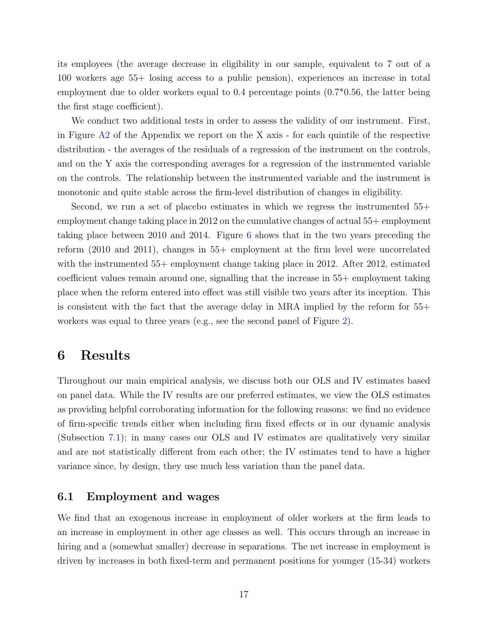its employees (the average decrease in eligibility in our sample, equivalent to 7 out of a 100 workers age 55+ losing access to a public pension), experiences an increase in total employment due to older workers equal to 0.4 percentage points (0.7\*0.56, the latter being the first stage coefficient).

We conduct two additional tests in order to assess the validity of our instrument. First, in Figure  $A2$  of the Appendix we report on the X axis - for each quintile of the respective distribution - the averages of the residuals of a regression of the instrument on the controls, and on the Y axis the corresponding averages for a regression of the instrumented variable on the controls. The relationship between the instrumented variable and the instrument is monotonic and quite stable across the firm-level distribution of changes in eligibility.

Second, we run a set of placebo estimates in which we regress the instrumented 55+ employment change taking place in 2012 on the cumulative changes of actual 55+ employment taking place between 2010 and 2014. Figure [6](#page-35-1) shows that in the two years preceding the reform (2010 and 2011), changes in 55+ employment at the firm level were uncorrelated with the instrumented 55+ employment change taking place in 2012. After 2012, estimated coefficient values remain around one, signalling that the increase in 55+ employment taking place when the reform entered into effect was still visible two years after its inception. This is consistent with the fact that the average delay in MRA implied by the reform for 55+ workers was equal to three years (e.g., see the second panel of Figure [2\)](#page-32-0).

## <span id="page-17-0"></span>6 Results

Throughout our main empirical analysis, we discuss both our OLS and IV estimates based on panel data. While the IV results are our preferred estimates, we view the OLS estimates as providing helpful corroborating information for the following reasons: we find no evidence of firm-specific trends either when including firm fixed effects or in our dynamic analysis (Subsection [7.1\)](#page-22-1); in many cases our OLS and IV estimates are qualitatively very similar and are not statistically different from each other; the IV estimates tend to have a higher variance since, by design, they use much less variation than the panel data.

### 6.1 Employment and wages

We find that an exogenous increase in employment of older workers at the firm leads to an increase in employment in other age classes as well. This occurs through an increase in hiring and a (somewhat smaller) decrease in separations. The net increase in employment is driven by increases in both fixed-term and permanent positions for younger (15-34) workers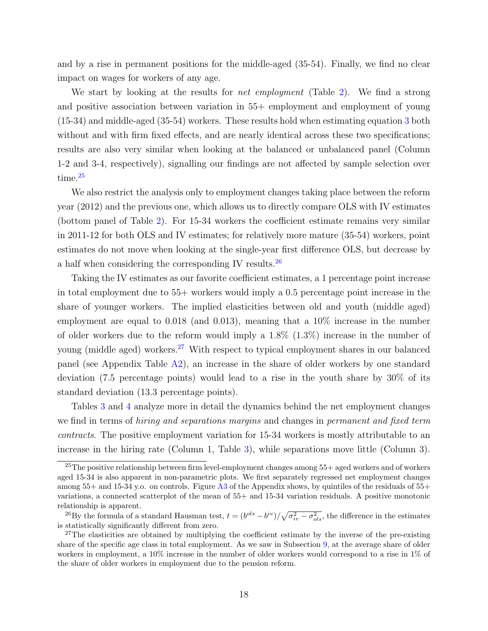and by a rise in permanent positions for the middle-aged (35-54). Finally, we find no clear impact on wages for workers of any age.

We start by looking at the results for *net employment* (Table [2\)](#page-39-0). We find a strong and positive association between variation in 55+ employment and employment of young (15-34) and middle-aged (35-54) workers. These results hold when estimating equation [3](#page-13-1) both without and with firm fixed effects, and are nearly identical across these two specifications; results are also very similar when looking at the balanced or unbalanced panel (Column 1-2 and 3-4, respectively), signalling our findings are not affected by sample selection over time.<sup>[25](#page-18-0)</sup>

We also restrict the analysis only to employment changes taking place between the reform year (2012) and the previous one, which allows us to directly compare OLS with IV estimates (bottom panel of Table [2\)](#page-39-0). For 15-34 workers the coefficient estimate remains very similar in 2011-12 for both OLS and IV estimates; for relatively more mature (35-54) workers, point estimates do not move when looking at the single-year first difference OLS, but decrease by a half when considering the corresponding IV results.[26](#page-18-1)

Taking the IV estimates as our favorite coefficient estimates, a 1 percentage point increase in total employment due to 55+ workers would imply a 0.5 percentage point increase in the share of younger workers. The implied elasticities between old and youth (middle aged) employment are equal to 0.018 (and 0.013), meaning that a 10% increase in the number of older workers due to the reform would imply a 1.8% (1.3%) increase in the number of young (middle aged) workers.<sup>[27](#page-18-2)</sup> With respect to typical employment shares in our balanced panel (see Appendix Table [A2\)](#page-51-0), an increase in the share of older workers by one standard deviation (7.5 percentage points) would lead to a rise in the youth share by 30% of its standard deviation (13.3 percentage points).

Tables [3](#page-39-1) and [4](#page-40-0) analyze more in detail the dynamics behind the net employment changes we find in terms of *hiring and separations margins* and changes in *permanent and fixed term* contracts. The positive employment variation for 15-34 workers is mostly attributable to an increase in the hiring rate (Column 1, Table [3\)](#page-39-1), while separations move little (Column 3).

<span id="page-18-0"></span><sup>25</sup>The positive relationship between firm level-employment changes among 55+ aged workers and of workers aged 15-34 is also apparent in non-parametric plots. We first separately regressed net employment changes among 55+ and 15-34 y.o. on controls. Figure [A3](#page-46-0) of the Appendix shows, by quintiles of the residuals of 55+ variations, a connected scatterplot of the mean of 55+ and 15-34 variation residuals. A positive monotonic relationship is apparent.

<span id="page-18-1"></span><sup>&</sup>lt;sup>26</sup>By the formula of a standard Hausman test,  $t = (b^{ols} - b^{iv})/\sqrt{\sigma_{iv}^2 - \sigma_{ols}^2}$ , the difference in the estimates is statistically significantly different from zero.

<span id="page-18-2"></span><sup>&</sup>lt;sup>27</sup>The elasticities are obtained by multiplying the coefficient estimate by the inverse of the pre-existing share of the specific age class in total employment. As we saw in Subsection [9,](#page-37-0) at the average share of older workers in employment, a 10% increase in the number of older workers would correspond to a rise in 1% of the share of older workers in employment due to the pension reform.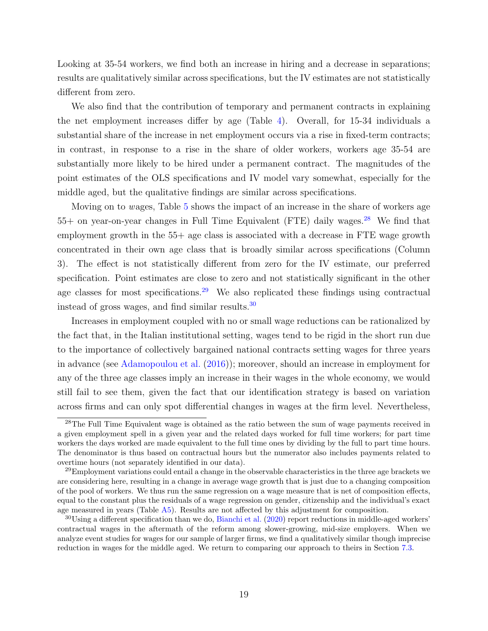Looking at 35-54 workers, we find both an increase in hiring and a decrease in separations; results are qualitatively similar across specifications, but the IV estimates are not statistically different from zero.

We also find that the contribution of temporary and permanent contracts in explaining the net employment increases differ by age (Table [4\)](#page-40-0). Overall, for 15-34 individuals a substantial share of the increase in net employment occurs via a rise in fixed-term contracts; in contrast, in response to a rise in the share of older workers, workers age 35-54 are substantially more likely to be hired under a permanent contract. The magnitudes of the point estimates of the OLS specifications and IV model vary somewhat, especially for the middle aged, but the qualitative findings are similar across specifications.

Moving on to wages, Table [5](#page-40-1) shows the impact of an increase in the share of workers age  $55+$  on year-on-year changes in Full Time Equivalent (FTE) daily wages.<sup>[28](#page-19-0)</sup> We find that employment growth in the 55+ age class is associated with a decrease in FTE wage growth concentrated in their own age class that is broadly similar across specifications (Column 3). The effect is not statistically different from zero for the IV estimate, our preferred specification. Point estimates are close to zero and not statistically significant in the other age classes for most specifications.<sup>[29](#page-19-1)</sup> We also replicated these findings using contractual instead of gross wages, and find similar results.[30](#page-19-2)

Increases in employment coupled with no or small wage reductions can be rationalized by the fact that, in the Italian institutional setting, wages tend to be rigid in the short run due to the importance of collectively bargained national contracts setting wages for three years in advance (see [Adamopoulou et al.](#page-27-13) [\(2016\)](#page-27-13)); moreover, should an increase in employment for any of the three age classes imply an increase in their wages in the whole economy, we would still fail to see them, given the fact that our identification strategy is based on variation across firms and can only spot differential changes in wages at the firm level. Nevertheless,

<span id="page-19-0"></span><sup>&</sup>lt;sup>28</sup>The Full Time Equivalent wage is obtained as the ratio between the sum of wage payments received in a given employment spell in a given year and the related days worked for full time workers; for part time workers the days worked are made equivalent to the full time ones by dividing by the full to part time hours. The denominator is thus based on contractual hours but the numerator also includes payments related to overtime hours (not separately identified in our data).

<span id="page-19-1"></span> $^{29}$ Employment variations could entail a change in the observable characteristics in the three age brackets we are considering here, resulting in a change in average wage growth that is just due to a changing composition of the pool of workers. We thus run the same regression on a wage measure that is net of composition effects, equal to the constant plus the residuals of a wage regression on gender, citizenship and the individual's exact age measured in years (Table [A5\)](#page-53-0). Results are not affected by this adjustment for composition.

<span id="page-19-2"></span><sup>&</sup>lt;sup>30</sup>Using a different specification than we do, [Bianchi et al.](#page-27-7) [\(2020\)](#page-27-7) report reductions in middle-aged workers' contractual wages in the aftermath of the reform among slower-growing, mid-size employers. When we analyze event studies for wages for our sample of larger firms, we find a qualitatively similar though imprecise reduction in wages for the middle aged. We return to comparing our approach to theirs in Section [7.3.](#page-23-0)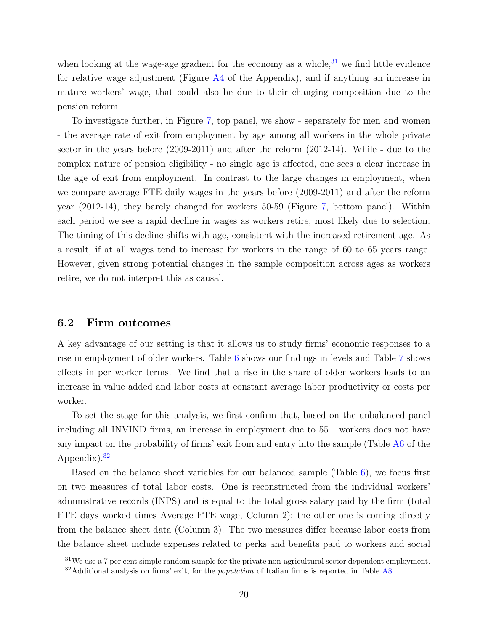when looking at the wage-age gradient for the economy as a whole,  $31$  we find little evidence for relative wage adjustment (Figure [A4](#page-47-0) of the Appendix), and if anything an increase in mature workers' wage, that could also be due to their changing composition due to the pension reform.

To investigate further, in Figure [7,](#page-36-0) top panel, we show - separately for men and women - the average rate of exit from employment by age among all workers in the whole private sector in the years before (2009-2011) and after the reform (2012-14). While - due to the complex nature of pension eligibility - no single age is affected, one sees a clear increase in the age of exit from employment. In contrast to the large changes in employment, when we compare average FTE daily wages in the years before (2009-2011) and after the reform year (2012-14), they barely changed for workers 50-59 (Figure [7,](#page-36-0) bottom panel). Within each period we see a rapid decline in wages as workers retire, most likely due to selection. The timing of this decline shifts with age, consistent with the increased retirement age. As a result, if at all wages tend to increase for workers in the range of 60 to 65 years range. However, given strong potential changes in the sample composition across ages as workers retire, we do not interpret this as causal.

### 6.2 Firm outcomes

A key advantage of our setting is that it allows us to study firms' economic responses to a rise in employment of older workers. Table [6](#page-41-0) shows our findings in levels and Table [7](#page-41-1) shows effects in per worker terms. We find that a rise in the share of older workers leads to an increase in value added and labor costs at constant average labor productivity or costs per worker.

To set the stage for this analysis, we first confirm that, based on the unbalanced panel including all INVIND firms, an increase in employment due to 55+ workers does not have any impact on the probability of firms' exit from and entry into the sample (Table [A6](#page-53-1) of the Appendix). $32$ 

Based on the balance sheet variables for our balanced sample (Table  $6$ ), we focus first on two measures of total labor costs. One is reconstructed from the individual workers' administrative records (INPS) and is equal to the total gross salary paid by the firm (total FTE days worked times Average FTE wage, Column 2); the other one is coming directly from the balance sheet data (Column 3). The two measures differ because labor costs from the balance sheet include expenses related to perks and benefits paid to workers and social

<span id="page-20-0"></span> $31\,\text{We}$  use a 7 per cent simple random sample for the private non-agricultural sector dependent employment.

<span id="page-20-1"></span> $32$ Additional analysis on firms' exit, for the *population* of Italian firms is reported in Table [A8.](#page-55-0)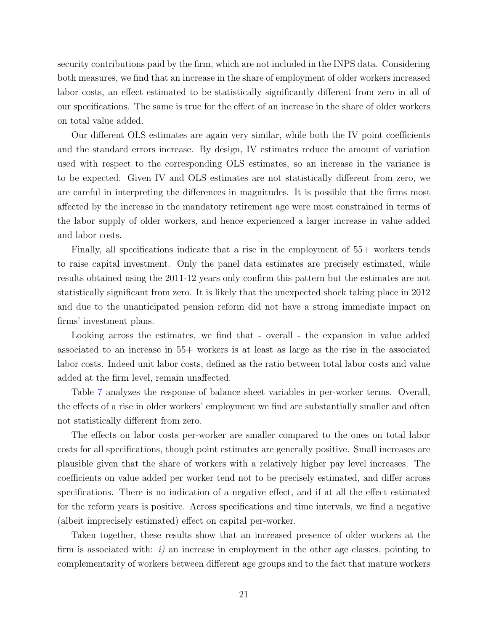security contributions paid by the firm, which are not included in the INPS data. Considering both measures, we find that an increase in the share of employment of older workers increased labor costs, an effect estimated to be statistically significantly different from zero in all of our specifications. The same is true for the effect of an increase in the share of older workers on total value added.

Our different OLS estimates are again very similar, while both the IV point coefficients and the standard errors increase. By design, IV estimates reduce the amount of variation used with respect to the corresponding OLS estimates, so an increase in the variance is to be expected. Given IV and OLS estimates are not statistically different from zero, we are careful in interpreting the differences in magnitudes. It is possible that the firms most affected by the increase in the mandatory retirement age were most constrained in terms of the labor supply of older workers, and hence experienced a larger increase in value added and labor costs.

Finally, all specifications indicate that a rise in the employment of 55+ workers tends to raise capital investment. Only the panel data estimates are precisely estimated, while results obtained using the 2011-12 years only confirm this pattern but the estimates are not statistically significant from zero. It is likely that the unexpected shock taking place in 2012 and due to the unanticipated pension reform did not have a strong immediate impact on firms' investment plans.

Looking across the estimates, we find that - overall - the expansion in value added associated to an increase in 55+ workers is at least as large as the rise in the associated labor costs. Indeed unit labor costs, defined as the ratio between total labor costs and value added at the firm level, remain unaffected.

Table [7](#page-41-1) analyzes the response of balance sheet variables in per-worker terms. Overall, the effects of a rise in older workers' employment we find are substantially smaller and often not statistically different from zero.

The effects on labor costs per-worker are smaller compared to the ones on total labor costs for all specifications, though point estimates are generally positive. Small increases are plausible given that the share of workers with a relatively higher pay level increases. The coefficients on value added per worker tend not to be precisely estimated, and differ across specifications. There is no indication of a negative effect, and if at all the effect estimated for the reform years is positive. Across specifications and time intervals, we find a negative (albeit imprecisely estimated) effect on capital per-worker.

Taken together, these results show that an increased presence of older workers at the firm is associated with:  $i)$  an increase in employment in the other age classes, pointing to complementarity of workers between different age groups and to the fact that mature workers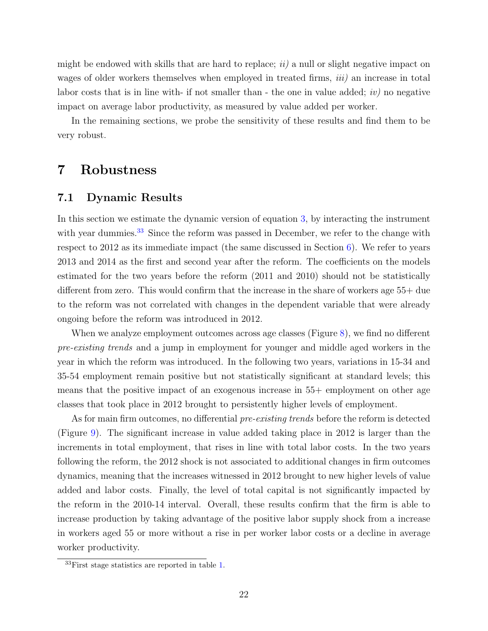might be endowed with skills that are hard to replace;  $ii)$  a null or slight negative impact on wages of older workers themselves when employed in treated firms, *iii*) an increase in total labor costs that is in line with- if not smaller than - the one in value added;  $iv)$  no negative impact on average labor productivity, as measured by value added per worker.

In the remaining sections, we probe the sensitivity of these results and find them to be very robust.

## <span id="page-22-0"></span>7 Robustness

### <span id="page-22-1"></span>7.1 Dynamic Results

In this section we estimate the dynamic version of equation [3,](#page-13-1) by interacting the instrument with year dummies.<sup>[33](#page-22-2)</sup> Since the reform was passed in December, we refer to the change with respect to 2012 as its immediate impact (the same discussed in Section [6\)](#page-17-0). We refer to years 2013 and 2014 as the first and second year after the reform. The coefficients on the models estimated for the two years before the reform (2011 and 2010) should not be statistically different from zero. This would confirm that the increase in the share of workers age 55+ due to the reform was not correlated with changes in the dependent variable that were already ongoing before the reform was introduced in 2012.

When we analyze employment outcomes across age classes (Figure [8\)](#page-37-1), we find no different pre-existing trends and a jump in employment for younger and middle aged workers in the year in which the reform was introduced. In the following two years, variations in 15-34 and 35-54 employment remain positive but not statistically significant at standard levels; this means that the positive impact of an exogenous increase in 55+ employment on other age classes that took place in 2012 brought to persistently higher levels of employment.

As for main firm outcomes, no differential *pre-existing trends* before the reform is detected (Figure [9\)](#page-37-0). The significant increase in value added taking place in 2012 is larger than the increments in total employment, that rises in line with total labor costs. In the two years following the reform, the 2012 shock is not associated to additional changes in firm outcomes dynamics, meaning that the increases witnessed in 2012 brought to new higher levels of value added and labor costs. Finally, the level of total capital is not significantly impacted by the reform in the 2010-14 interval. Overall, these results confirm that the firm is able to increase production by taking advantage of the positive labor supply shock from a increase in workers aged 55 or more without a rise in per worker labor costs or a decline in average worker productivity.

<span id="page-22-2"></span><sup>33</sup>First stage statistics are reported in table [1.](#page-38-0)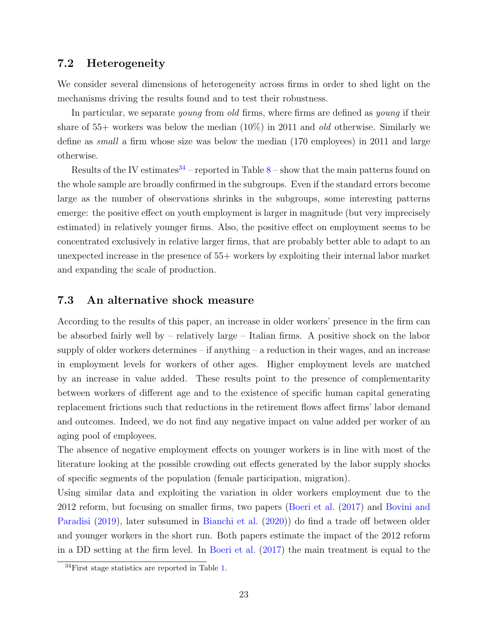### 7.2 Heterogeneity

We consider several dimensions of heterogeneity across firms in order to shed light on the mechanisms driving the results found and to test their robustness.

In particular, we separate *young* from *old* firms, where firms are defined as *young* if their share of  $55+$  workers was below the median  $(10\%)$  in 2011 and *old* otherwise. Similarly we define as small a firm whose size was below the median (170 employees) in 2011 and large otherwise.

Results of the IV estimates<sup>[34](#page-23-1)</sup> – reported in Table [8](#page-42-0) – show that the main patterns found on the whole sample are broadly confirmed in the subgroups. Even if the standard errors become large as the number of observations shrinks in the subgroups, some interesting patterns emerge: the positive effect on youth employment is larger in magnitude (but very imprecisely estimated) in relatively younger firms. Also, the positive effect on employment seems to be concentrated exclusively in relative larger firms, that are probably better able to adapt to an unexpected increase in the presence of 55+ workers by exploiting their internal labor market and expanding the scale of production.

### <span id="page-23-0"></span>7.3 An alternative shock measure

According to the results of this paper, an increase in older workers' presence in the firm can be absorbed fairly well by – relatively large – Italian firms. A positive shock on the labor supply of older workers determines  $-$  if anything  $-$  a reduction in their wages, and an increase in employment levels for workers of other ages. Higher employment levels are matched by an increase in value added. These results point to the presence of complementarity between workers of different age and to the existence of specific human capital generating replacement frictions such that reductions in the retirement flows affect firms' labor demand and outcomes. Indeed, we do not find any negative impact on value added per worker of an aging pool of employees.

The absence of negative employment effects on younger workers is in line with most of the literature looking at the possible crowding out effects generated by the labor supply shocks of specific segments of the population (female participation, migration).

Using similar data and exploiting the variation in older workers employment due to the 2012 reform, but focusing on smaller firms, two papers [\(Boeri et al.](#page-27-8) [\(2017\)](#page-27-8) and [Bovini and](#page-27-14) [Paradisi](#page-27-14) [\(2019\)](#page-27-14), later subsumed in [Bianchi et al.](#page-27-7) [\(2020\)](#page-27-7)) do find a trade off between older and younger workers in the short run. Both papers estimate the impact of the 2012 reform in a DD setting at the firm level. In [Boeri et al.](#page-27-8) [\(2017\)](#page-27-8) the main treatment is equal to the

<span id="page-23-1"></span> $34$ First stage statistics are reported in Table [1.](#page-38-0)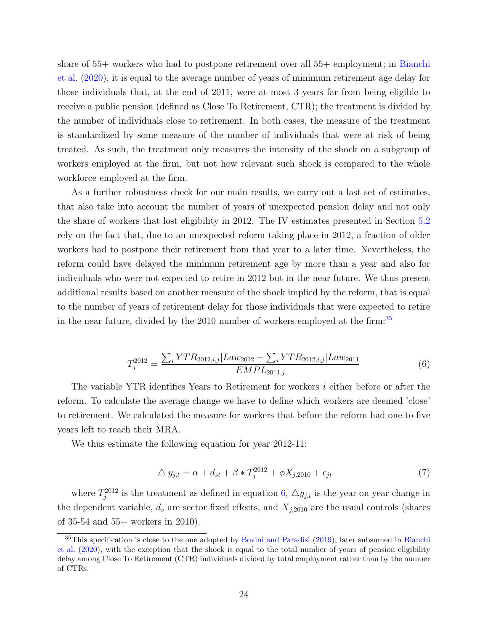share of 55+ workers who had to postpone retirement over all 55+ employment; in [Bianchi](#page-27-7) [et al.](#page-27-7) [\(2020\)](#page-27-7), it is equal to the average number of years of minimum retirement age delay for those individuals that, at the end of 2011, were at most 3 years far from being eligible to receive a public pension (defined as Close To Retirement, CTR); the treatment is divided by the number of individuals close to retirement. In both cases, the measure of the treatment is standardized by some measure of the number of individuals that were at risk of being treated. As such, the treatment only measures the intensity of the shock on a subgroup of workers employed at the firm, but not how relevant such shock is compared to the whole workforce employed at the firm.

As a further robustness check for our main results, we carry out a last set of estimates, that also take into account the number of years of unexpected pension delay and not only the share of workers that lost eligibility in 2012. The IV estimates presented in Section [5.2](#page-14-2) rely on the fact that, due to an unexpected reform taking place in 2012, a fraction of older workers had to postpone their retirement from that year to a later time. Nevertheless, the reform could have delayed the minimum retirement age by more than a year and also for individuals who were not expected to retire in 2012 but in the near future. We thus present additional results based on another measure of the shock implied by the reform, that is equal to the number of years of retirement delay for those individuals that were expected to retire in the near future, divided by the 2010 number of workers employed at the firm:[35](#page-24-0)

<span id="page-24-1"></span>
$$
T_j^{2012} = \frac{\sum_i YTR_{2012,i,j}|Law_{2012} - \sum_i YTR_{2012,i,j}|Law_{2011}}{EMPL_{2011,j}}
$$
(6)

The variable YTR identifies Years to Retirement for workers i either before or after the reform. To calculate the average change we have to define which workers are deemed 'close' to retirement. We calculated the measure for workers that before the reform had one to five years left to reach their MRA.

We thus estimate the following equation for year 2012-11:

<span id="page-24-2"></span>
$$
\Delta y_{j,t} = \alpha + d_{st} + \beta * T_j^{2012} + \phi X_{j,2010} + \epsilon_{jt}
$$
\n<sup>(7)</sup>

where  $T_j^{2012}$  is the treatment as defined in equation [6,](#page-24-1)  $\Delta y_{j,t}$  is the year on year change in the dependent variable,  $d_s$  are sector fixed effects, and  $X_{j,2010}$  are the usual controls (shares of 35-54 and 55+ workers in 2010).

<span id="page-24-0"></span><sup>&</sup>lt;sup>35</sup>This specification is close to the one adopted by [Bovini and Paradisi](#page-27-14) [\(2019\)](#page-27-14), later subsumed in [Bianchi](#page-27-7) [et al.](#page-27-7) [\(2020\)](#page-27-7), with the exception that the shock is equal to the total number of years of pension eligibility delay among Close To Retirement (CTR) individuals divided by total employment rather than by the number of CTRs.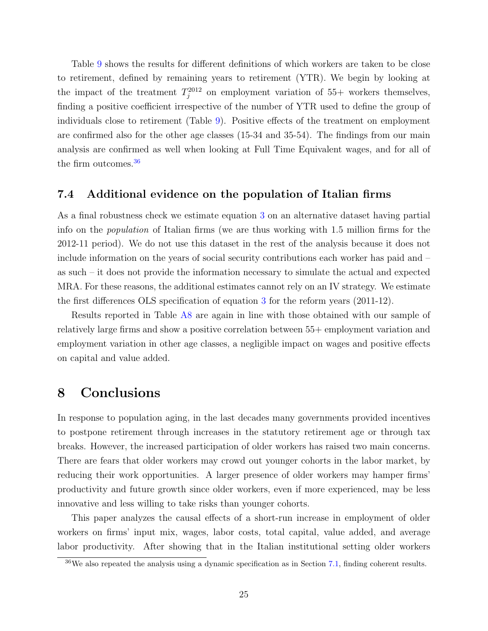Table [9](#page-43-0) shows the results for different definitions of which workers are taken to be close to retirement, defined by remaining years to retirement (YTR). We begin by looking at the impact of the treatment  $T_j^{2012}$  on employment variation of 55+ workers themselves, finding a positive coefficient irrespective of the number of YTR used to define the group of individuals close to retirement (Table [9\)](#page-43-0). Positive effects of the treatment on employment are confirmed also for the other age classes (15-34 and 35-54). The findings from our main analysis are confirmed as well when looking at Full Time Equivalent wages, and for all of the firm outcomes.<sup>[36](#page-25-1)</sup>

### 7.4 Additional evidence on the population of Italian firms

As a final robustness check we estimate equation [3](#page-13-1) on an alternative dataset having partial info on the population of Italian firms (we are thus working with 1.5 million firms for the 2012-11 period). We do not use this dataset in the rest of the analysis because it does not include information on the years of social security contributions each worker has paid and – as such – it does not provide the information necessary to simulate the actual and expected MRA. For these reasons, the additional estimates cannot rely on an IV strategy. We estimate the first differences OLS specification of equation [3](#page-13-1) for the reform years (2011-12).

Results reported in Table [A8](#page-55-0) are again in line with those obtained with our sample of relatively large firms and show a positive correlation between 55+ employment variation and employment variation in other age classes, a negligible impact on wages and positive effects on capital and value added.

## <span id="page-25-0"></span>8 Conclusions

In response to population aging, in the last decades many governments provided incentives to postpone retirement through increases in the statutory retirement age or through tax breaks. However, the increased participation of older workers has raised two main concerns. There are fears that older workers may crowd out younger cohorts in the labor market, by reducing their work opportunities. A larger presence of older workers may hamper firms' productivity and future growth since older workers, even if more experienced, may be less innovative and less willing to take risks than younger cohorts.

This paper analyzes the causal effects of a short-run increase in employment of older workers on firms' input mix, wages, labor costs, total capital, value added, and average labor productivity. After showing that in the Italian institutional setting older workers

<span id="page-25-1"></span> $36\text{We also repeated the analysis using a dynamic specification as in Section 7.1, finding coherent results.}$  $36\text{We also repeated the analysis using a dynamic specification as in Section 7.1, finding coherent results.}$  $36\text{We also repeated the analysis using a dynamic specification as in Section 7.1, finding coherent results.}$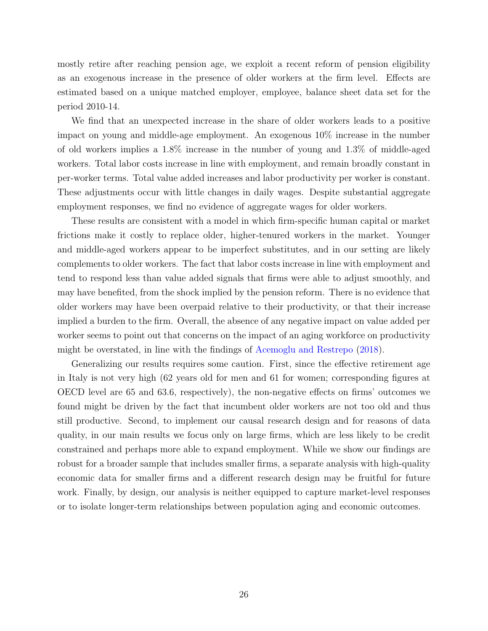mostly retire after reaching pension age, we exploit a recent reform of pension eligibility as an exogenous increase in the presence of older workers at the firm level. Effects are estimated based on a unique matched employer, employee, balance sheet data set for the period 2010-14.

We find that an unexpected increase in the share of older workers leads to a positive impact on young and middle-age employment. An exogenous 10% increase in the number of old workers implies a 1.8% increase in the number of young and 1.3% of middle-aged workers. Total labor costs increase in line with employment, and remain broadly constant in per-worker terms. Total value added increases and labor productivity per worker is constant. These adjustments occur with little changes in daily wages. Despite substantial aggregate employment responses, we find no evidence of aggregate wages for older workers.

These results are consistent with a model in which firm-specific human capital or market frictions make it costly to replace older, higher-tenured workers in the market. Younger and middle-aged workers appear to be imperfect substitutes, and in our setting are likely complements to older workers. The fact that labor costs increase in line with employment and tend to respond less than value added signals that firms were able to adjust smoothly, and may have benefited, from the shock implied by the pension reform. There is no evidence that older workers may have been overpaid relative to their productivity, or that their increase implied a burden to the firm. Overall, the absence of any negative impact on value added per worker seems to point out that concerns on the impact of an aging workforce on productivity might be overstated, in line with the findings of [Acemoglu and Restrepo](#page-27-1) [\(2018\)](#page-27-1).

Generalizing our results requires some caution. First, since the effective retirement age in Italy is not very high (62 years old for men and 61 for women; corresponding figures at OECD level are 65 and 63.6, respectively), the non-negative effects on firms' outcomes we found might be driven by the fact that incumbent older workers are not too old and thus still productive. Second, to implement our causal research design and for reasons of data quality, in our main results we focus only on large firms, which are less likely to be credit constrained and perhaps more able to expand employment. While we show our findings are robust for a broader sample that includes smaller firms, a separate analysis with high-quality economic data for smaller firms and a different research design may be fruitful for future work. Finally, by design, our analysis is neither equipped to capture market-level responses or to isolate longer-term relationships between population aging and economic outcomes.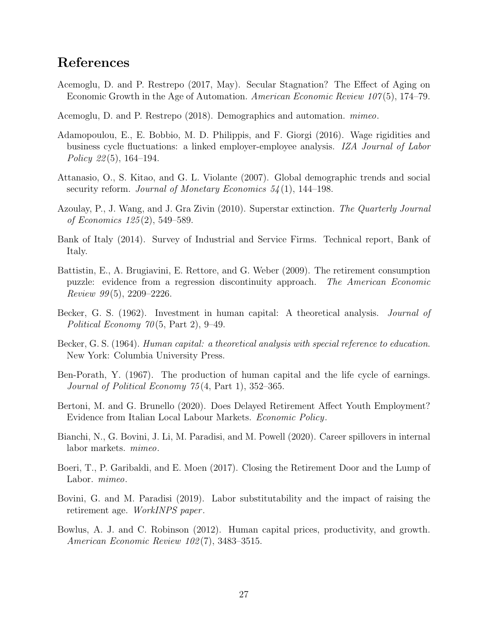## <span id="page-27-16"></span><span id="page-27-15"></span>References

- <span id="page-27-5"></span>Acemoglu, D. and P. Restrepo (2017, May). Secular Stagnation? The Effect of Aging on Economic Growth in the Age of Automation. American Economic Review 107(5), 174–79.
- <span id="page-27-1"></span>Acemoglu, D. and P. Restrepo (2018). Demographics and automation. mimeo.
- <span id="page-27-13"></span>Adamopoulou, E., E. Bobbio, M. D. Philippis, and F. Giorgi (2016). Wage rigidities and business cycle fluctuations: a linked employer-employee analysis. IZA Journal of Labor Policy 22 $(5)$ , 164–194.
- <span id="page-27-0"></span>Attanasio, O., S. Kitao, and G. L. Violante (2007). Global demographic trends and social security reform. Journal of Monetary Economics  $54(1)$ , 144–198.
- <span id="page-27-6"></span>Azoulay, P., J. Wang, and J. Gra Zivin (2010). Superstar extinction. The Quarterly Journal of Economics 125 (2), 549–589.
- <span id="page-27-11"></span>Bank of Italy (2014). Survey of Industrial and Service Firms. Technical report, Bank of Italy.
- <span id="page-27-12"></span>Battistin, E., A. Brugiavini, E. Rettore, and G. Weber (2009). The retirement consumption puzzle: evidence from a regression discontinuity approach. The American Economic Review  $99(5)$ , 2209–2226.
- <span id="page-27-10"></span>Becker, G. S. (1962). Investment in human capital: A theoretical analysis. *Journal of* Political Economy  $70(5, Part 2), 9-49.$
- <span id="page-27-2"></span>Becker, G. S. (1964). Human capital: a theoretical analysis with special reference to education. New York: Columbia University Press.
- <span id="page-27-3"></span>Ben-Porath, Y. (1967). The production of human capital and the life cycle of earnings. Journal of Political Economy 75 (4, Part 1), 352–365.
- <span id="page-27-9"></span>Bertoni, M. and G. Brunello (2020). Does Delayed Retirement Affect Youth Employment? Evidence from Italian Local Labour Markets. Economic Policy.
- <span id="page-27-7"></span>Bianchi, N., G. Bovini, J. Li, M. Paradisi, and M. Powell (2020). Career spillovers in internal labor markets. mimeo.
- <span id="page-27-8"></span>Boeri, T., P. Garibaldi, and E. Moen (2017). Closing the Retirement Door and the Lump of Labor. *mimeo*.
- <span id="page-27-14"></span>Bovini, G. and M. Paradisi (2019). Labor substitutability and the impact of raising the retirement age. WorkINPS paper.
- <span id="page-27-4"></span>Bowlus, A. J. and C. Robinson (2012). Human capital prices, productivity, and growth. American Economic Review 102 (7), 3483–3515.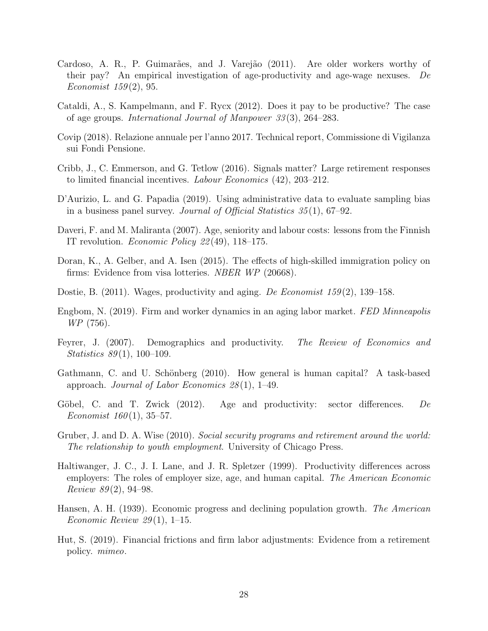- <span id="page-28-19"></span><span id="page-28-18"></span><span id="page-28-17"></span><span id="page-28-16"></span><span id="page-28-15"></span><span id="page-28-14"></span>Cardoso, A. R., P. Guimarães, and J. Varejão (2011). Are older workers worthy of their pay? An empirical investigation of age-productivity and age-wage nexuses. De Economist  $159(2)$ , 95.
- Cataldi, A., S. Kampelmann, and F. Rycx (2012). Does it pay to be productive? The case of age groups. International Journal of Manpower 33 (3), 264–283.
- <span id="page-28-13"></span>Covip (2018). Relazione annuale per l'anno 2017. Technical report, Commissione di Vigilanza sui Fondi Pensione.
- <span id="page-28-11"></span>Cribb, J., C. Emmerson, and G. Tetlow (2016). Signals matter? Large retirement responses to limited financial incentives. Labour Economics (42), 203–212.
- <span id="page-28-12"></span>D'Aurizio, L. and G. Papadia (2019). Using administrative data to evaluate sampling bias in a business panel survey. Journal of Official Statistics 35 (1), 67–92.
- <span id="page-28-5"></span>Daveri, F. and M. Maliranta (2007). Age, seniority and labour costs: lessons from the Finnish IT revolution. Economic Policy 22 (49), 118–175.
- <span id="page-28-10"></span>Doran, K., A. Gelber, and A. Isen (2015). The effects of high-skilled immigration policy on firms: Evidence from visa lotteries. NBER WP (20668).
- <span id="page-28-7"></span>Dostie, B. (2011). Wages, productivity and aging. De Economist  $159(2)$ , 139–158.
- <span id="page-28-2"></span>Engbom, N. (2019). Firm and worker dynamics in an aging labor market. FED Minneapolis WP (756).
- <span id="page-28-8"></span>Feyrer, J. (2007). Demographics and productivity. The Review of Economics and Statistics 89(1), 100–109.
- <span id="page-28-3"></span>Gathmann, C. and U. Schönberg  $(2010)$ . How general is human capital? A task-based approach. Journal of Labor Economics  $28(1)$ , 1–49.
- <span id="page-28-6"></span>Göbel, C. and T. Zwick  $(2012)$ . Age and productivity: sector differences. De Economist  $160(1)$ , 35–57.
- <span id="page-28-1"></span>Gruber, J. and D. A. Wise (2010). Social security programs and retirement around the world: The relationship to youth employment. University of Chicago Press.
- <span id="page-28-4"></span>Haltiwanger, J. C., J. I. Lane, and J. R. Spletzer (1999). Productivity differences across employers: The roles of employer size, age, and human capital. The American Economic Review  $89(2)$ , 94–98.
- <span id="page-28-0"></span>Hansen, A. H. (1939). Economic progress and declining population growth. The American Economic Review  $29(1)$ , 1–15.
- <span id="page-28-9"></span>Hut, S. (2019). Financial frictions and firm labor adjustments: Evidence from a retirement policy. mimeo.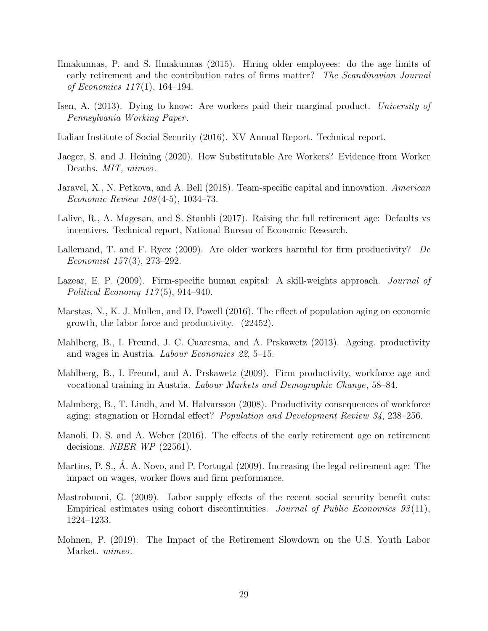- <span id="page-29-18"></span><span id="page-29-17"></span><span id="page-29-16"></span><span id="page-29-15"></span>Ilmakunnas, P. and S. Ilmakunnas (2015). Hiring older employees: do the age limits of early retirement and the contribution rates of firms matter? The Scandinavian Journal of Economics  $117(1)$ , 164–194.
- <span id="page-29-6"></span>Isen, A. (2013). Dying to know: Are workers paid their marginal product. University of Pennsylvania Working Paper .
- <span id="page-29-14"></span>Italian Institute of Social Security (2016). XV Annual Report. Technical report.
- <span id="page-29-1"></span>Jaeger, S. and J. Heining (2020). How Substitutable Are Workers? Evidence from Worker Deaths. *MIT*, *mimeo*.
- <span id="page-29-7"></span>Jaravel, X., N. Petkova, and A. Bell (2018). Team-specific capital and innovation. American Economic Review 108 (4-5), 1034–73.
- <span id="page-29-10"></span>Lalive, R., A. Magesan, and S. Staubli (2017). Raising the full retirement age: Defaults vs incentives. Technical report, National Bureau of Economic Research.
- <span id="page-29-2"></span>Lallemand, T. and F. Rycx (2009). Are older workers harmful for firm productivity? De Economist  $157(3)$ , 273-292.
- <span id="page-29-13"></span>Lazear, E. P. (2009). Firm-specific human capital: A skill-weights approach. *Journal of* Political Economy 117 (5), 914–940.
- <span id="page-29-0"></span>Maestas, N., K. J. Mullen, and D. Powell (2016). The effect of population aging on economic growth, the labor force and productivity. (22452).
- <span id="page-29-4"></span>Mahlberg, B., I. Freund, J. C. Cuaresma, and A. Prskawetz (2013). Ageing, productivity and wages in Austria. Labour Economics 22, 5–15.
- <span id="page-29-3"></span>Mahlberg, B., I. Freund, and A. Prskawetz (2009). Firm productivity, workforce age and vocational training in Austria. Labour Markets and Demographic Change, 58–84.
- <span id="page-29-5"></span>Malmberg, B., T. Lindh, and M. Halvarsson (2008). Productivity consequences of workforce aging: stagnation or Horndal effect? Population and Development Review 34, 238–256.
- <span id="page-29-11"></span>Manoli, D. S. and A. Weber (2016). The effects of the early retirement age on retirement decisions. *NBER WP* (22561).
- <span id="page-29-8"></span>Martins, P. S., Á. A. Novo, and P. Portugal (2009). Increasing the legal retirement age: The impact on wages, worker flows and firm performance.
- <span id="page-29-12"></span>Mastrobuoni, G. (2009). Labor supply effects of the recent social security benefit cuts: Empirical estimates using cohort discontinuities. Journal of Public Economics  $93(11)$ , 1224–1233.
- <span id="page-29-9"></span>Mohnen, P. (2019). The Impact of the Retirement Slowdown on the U.S. Youth Labor Market. mimeo.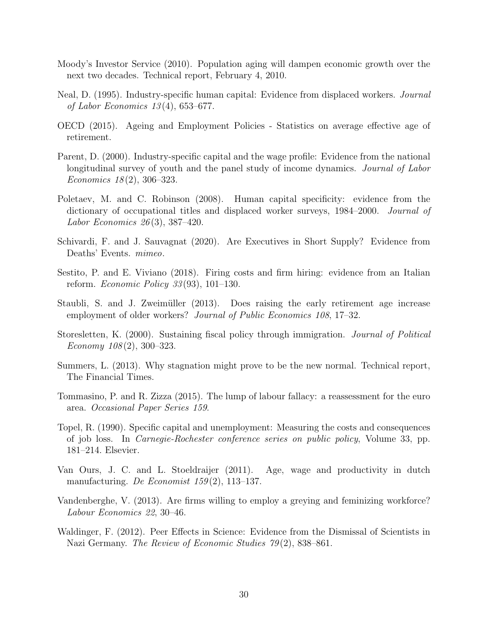- <span id="page-30-14"></span><span id="page-30-13"></span><span id="page-30-0"></span>Moody's Investor Service (2010). Population aging will dampen economic growth over the next two decades. Technical report, February 4, 2010.
- <span id="page-30-5"></span>Neal, D. (1995). Industry-specific human capital: Evidence from displaced workers. Journal of Labor Economics 13 (4), 653–677.
- <span id="page-30-3"></span>OECD (2015). Ageing and Employment Policies - Statistics on average effective age of retirement.
- <span id="page-30-6"></span>Parent, D. (2000). Industry-specific capital and the wage profile: Evidence from the national longitudinal survey of youth and the panel study of income dynamics. *Journal of Labor* Economics  $18(2)$ , 306-323.
- <span id="page-30-7"></span>Poletaev, M. and C. Robinson (2008). Human capital specificity: evidence from the dictionary of occupational titles and displaced worker surveys, 1984–2000. Journal of Labor Economics  $26(3)$ , 387-420.
- <span id="page-30-4"></span>Schivardi, F. and J. Sauvagnat (2020). Are Executives in Short Supply? Evidence from Deaths' Events. mimeo.
- <span id="page-30-12"></span>Sestito, P. and E. Viviano (2018). Firing costs and firm hiring: evidence from an Italian reform. Economic Policy 33 (93), 101–130.
- <span id="page-30-11"></span>Staubli, S. and J. Zweimüller (2013). Does raising the early retirement age increase employment of older workers? *Journal of Public Economics 108*, 17–32.
- <span id="page-30-1"></span>Storesletten, K. (2000). Sustaining fiscal policy through immigration. Journal of Political Economy  $108(2)$ , 300-323.
- <span id="page-30-2"></span>Summers, L. (2013). Why stagnation might prove to be the new normal. Technical report, The Financial Times.
- <span id="page-30-10"></span>Tommasino, P. and R. Zizza (2015). The lump of labour fallacy: a reassessment for the euro area. Occasional Paper Series 159.
- <span id="page-30-8"></span>Topel, R. (1990). Specific capital and unemployment: Measuring the costs and consequences of job loss. In Carnegie-Rochester conference series on public policy, Volume 33, pp. 181–214. Elsevier.
- Van Ours, J. C. and L. Stoeldraijer (2011). Age, wage and productivity in dutch manufacturing. De Economist  $159(2)$ , 113-137.
- Vandenberghe, V. (2013). Are firms willing to employ a greying and feminizing workforce? Labour Economics 22, 30–46.
- <span id="page-30-9"></span>Waldinger, F. (2012). Peer Effects in Science: Evidence from the Dismissal of Scientists in Nazi Germany. The Review of Economic Studies 79(2), 838–861.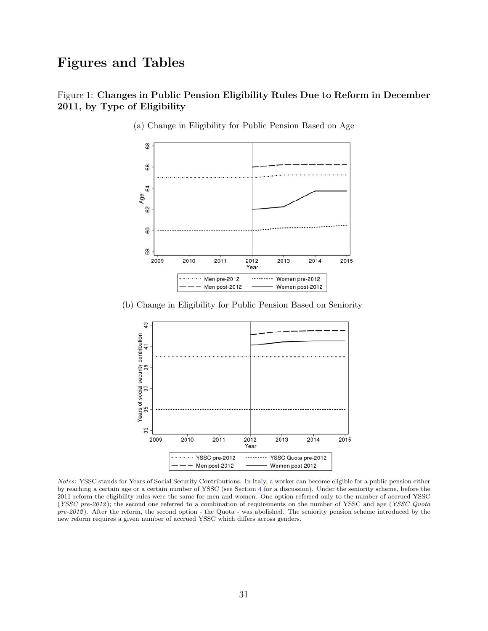# Figures and Tables

### <span id="page-31-0"></span>Figure 1: Changes in Public Pension Eligibility Rules Due to Reform in December 2011, by Type of Eligibility



(a) Change in Eligibility for Public Pension Based on Age

(b) Change in Eligibility for Public Pension Based on Seniority



Notes: YSSC stands for Years of Social Security Contributions. In Italy, a worker can become eligible for a public pension either by reaching a certain age or a certain number of YSSC (see Section [4](#page-10-0) for a discussion). Under the seniority scheme, before the 2011 reform the eligibility rules were the same for men and women. One option referred only to the number of accrued YSSC (YSSC pre-2012); the second one referred to a combination of requirements on the number of YSSC and age (YSSC Quota pre-2012). After the reform, the second option - the Quota - was abolished. The seniority pension scheme introduced by the new reform requires a given number of accrued YSSC which differs across genders.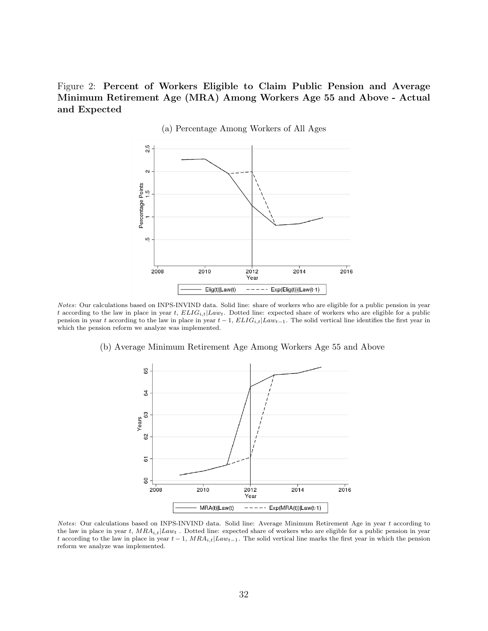<span id="page-32-0"></span>Figure 2: Percent of Workers Eligible to Claim Public Pension and Average Minimum Retirement Age (MRA) Among Workers Age 55 and Above - Actual and Expected



(a) Percentage Among Workers of All Ages

Notes: Our calculations based on INPS-INVIND data. Solid line: share of workers who are eligible for a public pension in year t according to the law in place in year t,  $ELIG_{i,t}|Law_t$ . Dotted line: expected share of workers who are eligible for a public pension in year t according to the law in place in year  $t-1$ ,  $ELIG_{i,t}|Law_{t-1}$ . The solid vertical line identifies the first year in which the pension reform we analyze was implemented.

(b) Average Minimum Retirement Age Among Workers Age 55 and Above



Notes: Our calculations based on INPS-INVIND data. Solid line: Average Minimum Retirement Age in year t according to the law in place in year t,  $MRA_{i,t}|Law_t$ . Dotted line: expected share of workers who are eligible for a public pension in year t according to the law in place in year  $t-1$ ,  $MRA_{i,t}|Law_{t-1}$ . The solid vertical line marks the first year in which the pension reform we analyze was implemented.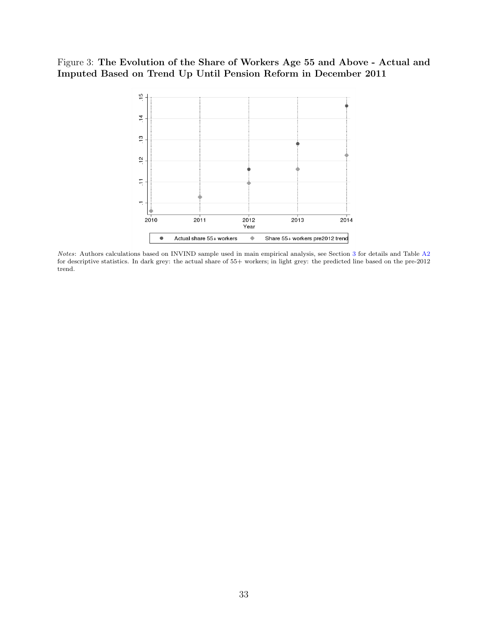### <span id="page-33-0"></span>Figure 3: The Evolution of the Share of Workers Age 55 and Above - Actual and Imputed Based on Trend Up Until Pension Reform in December 2011



Notes: Authors calculations based on INVIND sample used in main empirical analysis, see Section [3](#page-9-0) for details and Table [A2](#page-51-0) for descriptive statistics. In dark grey: the actual share of 55+ workers; in light grey: the predicted line based on the pre-2012 trend.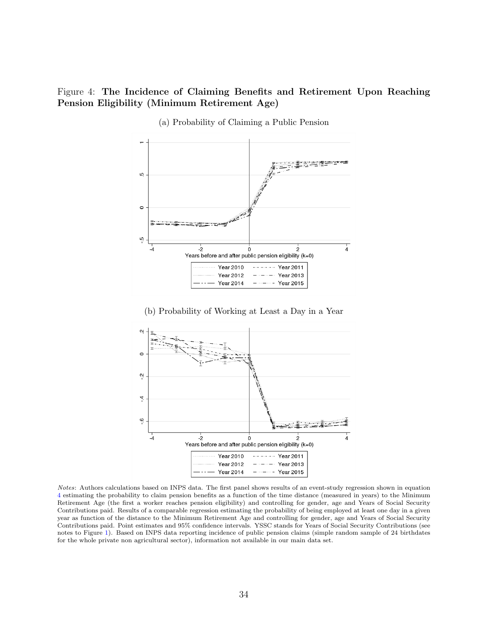### <span id="page-34-0"></span>Figure 4: The Incidence of Claiming Benefits and Retirement Upon Reaching Pension Eligibility (Minimum Retirement Age)



(a) Probability of Claiming a Public Pension

(b) Probability of Working at Least a Day in a Year



Notes: Authors calculations based on INPS data. The first panel shows results of an event-study regression shown in equation [4](#page-14-1) estimating the probability to claim pension benefits as a function of the time distance (measured in years) to the Minimum Retirement Age (the first a worker reaches pension eligibility) and controlling for gender, age and Years of Social Security Contributions paid. Results of a comparable regression estimating the probability of being employed at least one day in a given year as function of the distance to the Minimum Retirement Age and controlling for gender, age and Years of Social Security Contributions paid. Point estimates and 95% confidence intervals. YSSC stands for Years of Social Security Contributions (see notes to Figure [1\)](#page-31-0). Based on INPS data reporting incidence of public pension claims (simple random sample of 24 birthdates for the whole private non agricultural sector), information not available in our main data set.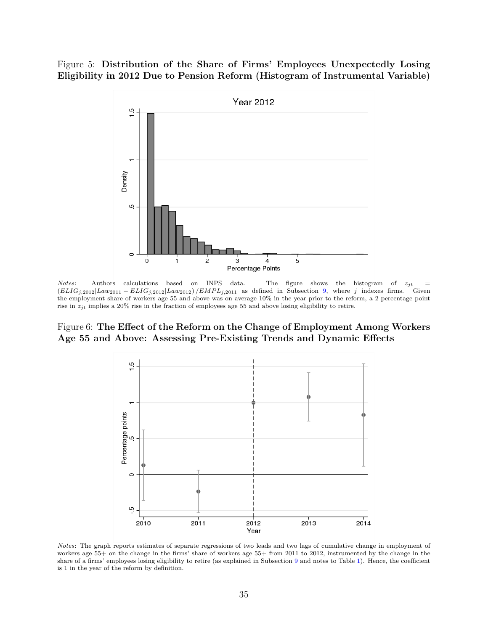<span id="page-35-0"></span>Figure 5: Distribution of the Share of Firms' Employees Unexpectedly Losing Eligibility in 2012 Due to Pension Reform (Histogram of Instrumental Variable)



*Notes*: Authors calculations based on INPS data. The figure shows the histogram of  $z_{jt} = (ELIG_{i,2012} | Law_{2011} - ELIG_{i,2012} | Law_{2012}) / EMPL_{i,2011}$  as defined in Subsection 9, where j indexes firms. Given  $(ELIG_{j,2012}|Law_{2011} - ELIG_{j,2012}|Law_{2012}) / EMPI_{j,2011}$  as defined in Subsection [9,](#page-37-0) where j indexes firms. the employment share of workers age 55 and above was on average 10% in the year prior to the reform, a 2 percentage point rise in  $z_{jt}$  implies a 20% rise in the fraction of employees age 55 and above losing eligibility to retire.

<span id="page-35-1"></span>Figure 6: The Effect of the Reform on the Change of Employment Among Workers Age 55 and Above: Assessing Pre-Existing Trends and Dynamic Effects



Notes: The graph reports estimates of separate regressions of two leads and two lags of cumulative change in employment of workers age 55+ on the change in the firms' share of workers age 55+ from 2011 to 2012, instrumented by the change in the share of a firms' employees losing eligibility to retire (as explained in Subsection [9](#page-37-0) and notes to Table [1\)](#page-38-0). Hence, the coefficient is 1 in the year of the reform by definition.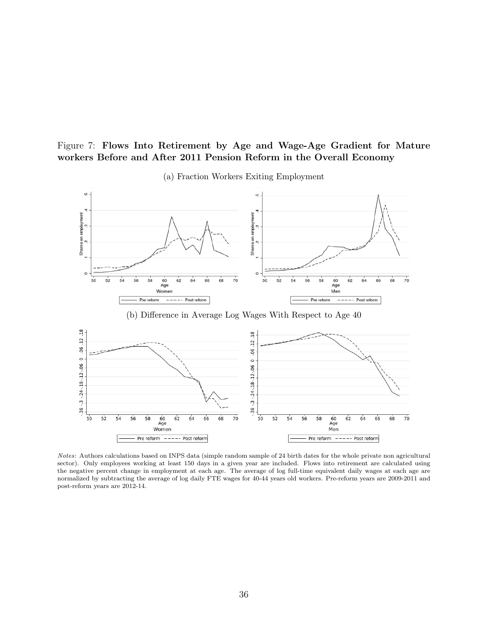### Figure 7: Flows Into Retirement by Age and Wage-Age Gradient for Mature workers Before and After 2011 Pension Reform in the Overall Economy

<span id="page-36-0"></span>

(a) Fraction Workers Exiting Employment

Notes: Authors calculations based on INPS data (simple random sample of 24 birth dates for the whole private non agricultural sector). Only employees working at least 150 days in a given year are included. Flows into retirement are calculated using the negative percent change in employment at each age. The average of log full-time equivalent daily wages at each age are normalized by subtracting the average of log daily FTE wages for 40-44 years old workers. Pre-reform years are 2009-2011 and post-reform years are 2012-14.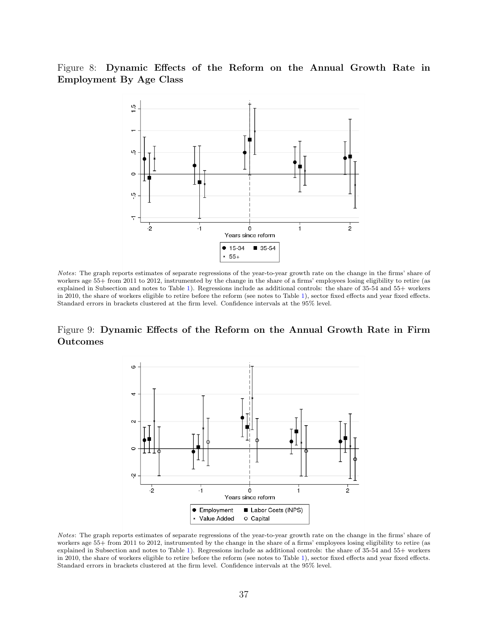### <span id="page-37-1"></span>Figure 8: Dynamic Effects of the Reform on the Annual Growth Rate in Employment By Age Class



Notes: The graph reports estimates of separate regressions of the year-to-year growth rate on the change in the firms' share of workers age 55+ from 2011 to 2012, instrumented by the change in the share of a firms' employees losing eligibility to retire (as explained in Subsection and notes to Table [1\)](#page-38-0). Regressions include as additional controls: the share of 35-54 and 55+ workers in 2010, the share of workers eligible to retire before the reform (see notes to Table [1\)](#page-38-0), sector fixed effects and year fixed effects. Standard errors in brackets clustered at the firm level. Confidence intervals at the 95% level.

### <span id="page-37-0"></span>Figure 9: Dynamic Effects of the Reform on the Annual Growth Rate in Firm Outcomes



Notes: The graph reports estimates of separate regressions of the year-to-year growth rate on the change in the firms' share of workers age 55+ from 2011 to 2012, instrumented by the change in the share of a firms' employees losing eligibility to retire (as explained in Subsection and notes to Table [1\)](#page-38-0). Regressions include as additional controls: the share of 35-54 and 55+ workers in 2010, the share of workers eligible to retire before the reform (see notes to Table [1\)](#page-38-0), sector fixed effects and year fixed effects. Standard errors in brackets clustered at the firm level. Confidence intervals at the 95% level.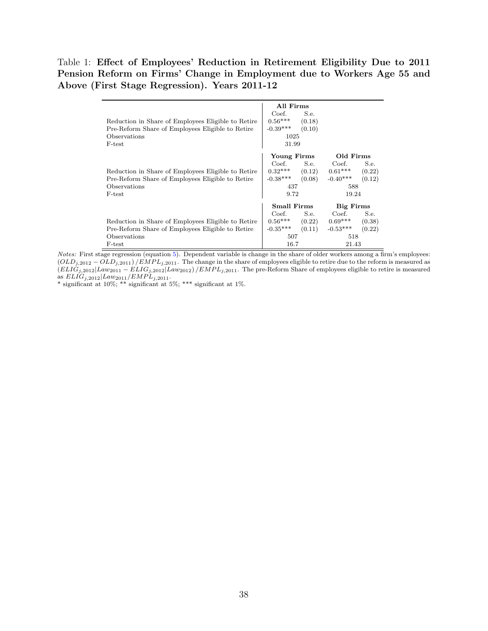### <span id="page-38-0"></span>Table 1: Effect of Employees' Reduction in Retirement Eligibility Due to 2011 Pension Reform on Firms' Change in Employment due to Workers Age 55 and Above (First Stage Regression). Years 2011-12

| Reduction in Share of Employees Eligible to Retire<br>Pre-Reform Share of Employees Eligible to Retire<br>Observations | All Firms<br>Coef.<br>$0.56***$<br>$-0.39***$<br>1025 | S.e.<br>(0.18)<br>(0.10) |                  |        |
|------------------------------------------------------------------------------------------------------------------------|-------------------------------------------------------|--------------------------|------------------|--------|
| F-test                                                                                                                 | 31.99                                                 |                          |                  |        |
|                                                                                                                        | Young Firms                                           |                          | Old Firms        |        |
|                                                                                                                        | Coef.                                                 | S.e.                     | Coef.            | S.e.   |
| Reduction in Share of Employees Eligible to Retire                                                                     | $0.32***$<br>(0.12)<br>$-0.38***$<br>(0.08)           |                          | $0.61***$        | (0.22) |
| Pre-Reform Share of Employees Eligible to Retire                                                                       |                                                       |                          | $-0.40***$       | (0.12) |
| Observations                                                                                                           | 437                                                   |                          | 588              |        |
| F-test                                                                                                                 | 9.72                                                  |                          | 19.24            |        |
|                                                                                                                        | <b>Small Firms</b>                                    |                          | <b>Big Firms</b> |        |
|                                                                                                                        | Coef.                                                 | S.e.                     | Coef.            | S.e.   |
| Reduction in Share of Employees Eligible to Retire                                                                     | $0.56***$                                             | (0.22)                   | $0.69***$        | (0.38) |
| Pre-Reform Share of Employees Eligible to Retire                                                                       | $-0.35***$                                            | (0.11)                   | $-0.53***$       | (0.22) |
| Observations                                                                                                           | 507                                                   |                          | 518              |        |
| F-test                                                                                                                 | 16.7                                                  |                          | 21.43            |        |

Notes: First stage regression (equation [5\)](#page-16-2). Dependent variable is change in the share of older workers among a firm's employees:  $(OLD_{j,2012} -OLD_{j,2011})/EMPD_{j,2011}$ . The change in the share of employees eligible to retire due to the reform is measured as  $(ELIG_{j,2012} | Law_{2011} - ELIG_{j,2012} | Law_{2012}) / EMPL_{j,2011}$ . The pre-Reform Share of employees eligible to retire is measured as  $ELIG_{j,2012}|Law_{2011}/EMPL_{j,2011}$ .

\* significant at 10%; \*\* significant at 5%; \*\*\* significant at 1%.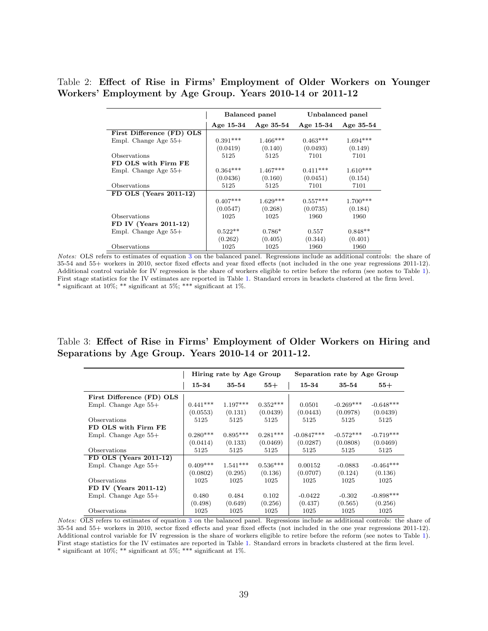### <span id="page-39-0"></span>Table 2: Effect of Rise in Firms' Employment of Older Workers on Younger Workers' Employment by Age Group. Years 2010-14 or 2011-12

|                           |             | Balanced panel |            | Unbalanced panel |
|---------------------------|-------------|----------------|------------|------------------|
|                           | Age $15-34$ | Age $35-54$    | Age 15-34  | Age $35-54$      |
| First Difference (FD) OLS |             |                |            |                  |
| Empl. Change Age $55+$    | $0.391***$  | $1.466***$     | $0.463***$ | $1.694***$       |
|                           | (0.0419)    | (0.140)        | (0.0493)   | (0.149)          |
| Observations              | 5125        | 5125           | 7101       | 7101             |
| FD OLS with Firm FE       |             |                |            |                  |
| Empl. Change Age $55+$    | $0.364***$  | $1.467***$     | $0.411***$ | $1.610***$       |
|                           | (0.0436)    | (0.160)        | (0.0451)   | (0.154)          |
| Observations              | 5125        | 5125           | 7101       | 7101             |
| FD OLS (Years 2011-12)    |             |                |            |                  |
|                           | $0.407***$  | $1.629***$     | $0.557***$ | $1.700***$       |
|                           | (0.0547)    | (0.268)        | (0.0735)   | (0.184)          |
| Observations              | 1025        | 1025           | 1960       | 1960             |
| FD IV (Years 2011-12)     |             |                |            |                  |
| Empl. Change Age $55+$    | $0.522**$   | $0.786*$       | 0.557      | $0.848**$        |
|                           | (0.262)     | (0.405)        | (0.344)    | (0.401)          |
| Observations              | 1025        | 1025           | 1960       | 1960             |

Notes: OLS refers to estimates of equation [3](#page-13-1) on the balanced panel. Regressions include as additional controls: the share of 35-54 and 55+ workers in 2010, sector fixed effects and year fixed effects (not included in the one year regressions 2011-12). Additional control variable for IV regression is the share of workers eligible to retire before the reform (see notes to Table [1\)](#page-38-0). First stage statistics for the IV estimates are reported in Table [1.](#page-38-0) Standard errors in brackets clustered at the firm level. \* significant at 10%; \*\* significant at 5%; \*\*\* significant at 1%.

### <span id="page-39-1"></span>Table 3: Effect of Rise in Firms' Employment of Older Workers on Hiring and Separations by Age Group. Years 2010-14 or 2011-12.

|                           |            | Hiring rate by Age Group |            |              | Separation rate by Age Group |             |
|---------------------------|------------|--------------------------|------------|--------------|------------------------------|-------------|
|                           | 15-34      | 35-54                    | $55+$      | 15-34        | 35-54                        | $55+$       |
| First Difference (FD) OLS |            |                          |            |              |                              |             |
| Empl. Change Age $55+$    | $0.441***$ | $1.197***$               | $0.352***$ | 0.0501       | $-0.269***$                  | $-0.648***$ |
|                           | (0.0553)   | (0.131)                  | (0.0439)   | (0.0443)     | (0.0978)                     | (0.0439)    |
| Observations              | 5125       | 5125                     | 5125       | 5125         | 5125                         | 5125        |
| FD OLS with Firm FE       |            |                          |            |              |                              |             |
| Empl. Change Age $55+$    | $0.280***$ | $0.895***$               | $0.281***$ | $-0.0847***$ | $-0.572***$                  | $-0.719***$ |
|                           | (0.0414)   | (0.133)                  | (0.0469)   | (0.0287)     | (0.0808)                     | (0.0469)    |
| Observations              | 5125       | 5125                     | 5125       | 5125         | 5125                         | 5125        |
| FD OLS (Years 2011-12)    |            |                          |            |              |                              |             |
| Empl. Change Age $55+$    | $0.409***$ | $1.541***$               | $0.536***$ | 0.00152      | $-0.0883$                    | $-0.464***$ |
|                           | (0.0802)   | (0.295)                  | (0.136)    | (0.0707)     | (0.124)                      | (0.136)     |
| Observations              | 1025       | 1025                     | 1025       | 1025         | 1025                         | 1025        |
| FD IV (Years 2011-12)     |            |                          |            |              |                              |             |
| Empl. Change Age $55+$    | 0.480      | 0.484                    | 0.102      | $-0.0422$    | $-0.302$                     | $-0.898***$ |
|                           | (0.498)    | (0.649)                  | (0.256)    | (0.437)      | (0.565)                      | (0.256)     |
| Observations              | 1025       | 1025                     | 1025       | 1025         | 1025                         | 1025        |

Notes: OLS refers to estimates of equation [3](#page-13-1) on the balanced panel. Regressions include as additional controls: the share of 35-54 and 55+ workers in 2010, sector fixed effects and year fixed effects (not included in the one year regressions 2011-12). Additional control variable for IV regression is the share of workers eligible to retire before the reform (see notes to Table [1\)](#page-38-0). First stage statistics for the IV estimates are reported in Table [1.](#page-38-0) Standard errors in brackets clustered at the firm level. \* significant at  $10\%$ ; \*\* significant at  $5\%$ ; \*\*\* significant at  $1\%$ .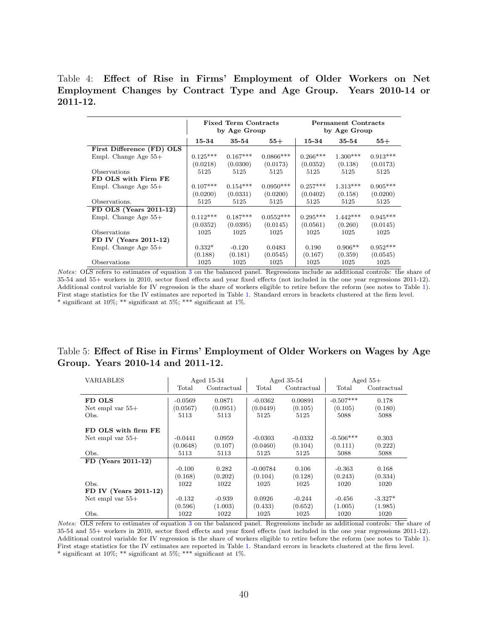### Table 4: Effect of Rise in Firms' Employment of Older Workers on Net Employment Changes by Contract Type and Age Group. Years 2010-14 or 2011-12.

<span id="page-40-0"></span>

|                           |            | <b>Fixed Term Contracts</b><br>by Age Group |             |            | <b>Permanent Contracts</b><br>by Age Group |            |
|---------------------------|------------|---------------------------------------------|-------------|------------|--------------------------------------------|------------|
|                           | 15-34      | 35-54                                       | $55+$       | 15-34      | 35-54                                      | $^{55+}$   |
| First Difference (FD) OLS |            |                                             |             |            |                                            |            |
| Empl. Change Age $55+$    | $0.125***$ | $0.167***$                                  | $0.0866***$ | $0.266***$ | $1.300***$                                 | $0.913***$ |
|                           | (0.0218)   | (0.0300)                                    | (0.0173)    | (0.0352)   | (0.138)                                    | (0.0173)   |
| Observations              | 5125       | 5125                                        | 5125        | 5125       | 5125                                       | 5125       |
| FD OLS with Firm FE       |            |                                             |             |            |                                            |            |
| Empl. Change Age $55+$    | $0.107***$ | $0.154***$                                  | $0.0950***$ | $0.257***$ | $1.313***$                                 | $0.905***$ |
|                           | (0.0200)   | (0.0331)                                    | (0.0200)    | (0.0402)   | (0.158)                                    | (0.0200)   |
| Observations.             | 5125       | 5125                                        | 5125        | 5125       | 5125                                       | 5125       |
| FD OLS (Years $2011-12$ ) |            |                                             |             |            |                                            |            |
| Empl. Change Age $55+$    | $0.112***$ | $0.187***$                                  | $0.0552***$ | $0.295***$ | $1.442***$                                 | $0.945***$ |
|                           | (0.0352)   | (0.0395)                                    | (0.0145)    | (0.0561)   | (0.260)                                    | (0.0145)   |
| Observations              | 1025       | 1025                                        | 1025        | 1025       | 1025                                       | 1025       |
| FD IV (Years 2011-12)     |            |                                             |             |            |                                            |            |
| Empl. Change Age $55+$    | $0.332*$   | $-0.120$                                    | 0.0483      | 0.190      | $0.906**$                                  | $0.952***$ |
|                           | (0.188)    | (0.181)                                     | (0.0545)    | (0.167)    | (0.359)                                    | (0.0545)   |
| Observations              | 1025       | 1025                                        | 1025        | 1025       | 1025                                       | 1025       |

Notes: OLS refers to estimates of equation [3](#page-13-1) on the balanced panel. Regressions include as additional controls: the share of 35-54 and 55+ workers in 2010, sector fixed effects and year fixed effects (not included in the one year regressions 2011-12). Additional control variable for IV regression is the share of workers eligible to retire before the reform (see notes to Table [1\)](#page-38-0). First stage statistics for the IV estimates are reported in Table [1.](#page-38-0) Standard errors in brackets clustered at the firm level. \* significant at 10%; \*\* significant at 5%; \*\*\* significant at 1%.

### Table 5: Effect of Rise in Firms' Employment of Older Workers on Wages by Age Group. Years 2010-14 and 2011-12.

<span id="page-40-1"></span>

| VARIABLES                |           | Aged 15-34  |            | Aged 35-54  |             | Aged $55+$  |
|--------------------------|-----------|-------------|------------|-------------|-------------|-------------|
|                          | Total     | Contractual | Total      | Contractual | Total       | Contractual |
| FD OLS                   | $-0.0569$ | 0.0871      | $-0.0362$  | 0.00891     | $-0.507***$ | 0.178       |
| Net empl var $55+$       | (0.0567)  | (0.0951)    | (0.0449)   | (0.105)     | (0.105)     | (0.180)     |
| Obs.                     | 5113      | 5113        | 5125       | 5125        | 5088        | 5088        |
|                          |           |             |            |             |             |             |
| FD OLS with firm FE      |           |             |            |             |             |             |
| Net empl var $55+$       | $-0.0441$ | 0.0959      | $-0.0303$  | $-0.0332$   | $-0.506***$ | 0.303       |
|                          | (0.0648)  | (0.107)     | (0.0460)   | (0.104)     | (0.111)     | (0.222)     |
| Obs.                     | 5113      | 5113        | 5125       | 5125        | 5088        | 5088        |
| FD (Years 2011-12)       |           |             |            |             |             |             |
|                          | $-0.100$  | 0.282       | $-0.00784$ | 0.106       | $-0.363$    | 0.168       |
|                          | (0.168)   | (0.202)     | (0.104)    | (0.128)     | (0.243)     | (0.334)     |
| Obs.                     | 1022      | 1022        | 1025       | 1025        | 1020        | 1020        |
| FD IV (Years $2011-12$ ) |           |             |            |             |             |             |
| Net empl var $55+$       | $-0.132$  | $-0.939$    | 0.0926     | $-0.244$    | $-0.456$    | $-3.327*$   |
|                          | (0.596)   | (1.003)     | (0.433)    | (0.652)     | (1.005)     | (1.985)     |
| Obs.                     | 1022      | 1022        | 1025       | 1025        | 1020        | 1020        |

Notes: OLS refers to estimates of equation [3](#page-13-1) on the balanced panel. Regressions include as additional controls: the share of 35-54 and 55+ workers in 2010, sector fixed effects and year fixed effects (not included in the one year regressions 2011-12). Additional control variable for IV regression is the share of workers eligible to retire before the reform (see notes to Table [1\)](#page-38-0). First stage statistics for the IV estimates are reported in Table [1.](#page-38-0) Standard errors in brackets clustered at the firm level. \* significant at  $10\%$ ; \*\* significant at  $5\%$ ; \*\*\* significant at  $1\%$ .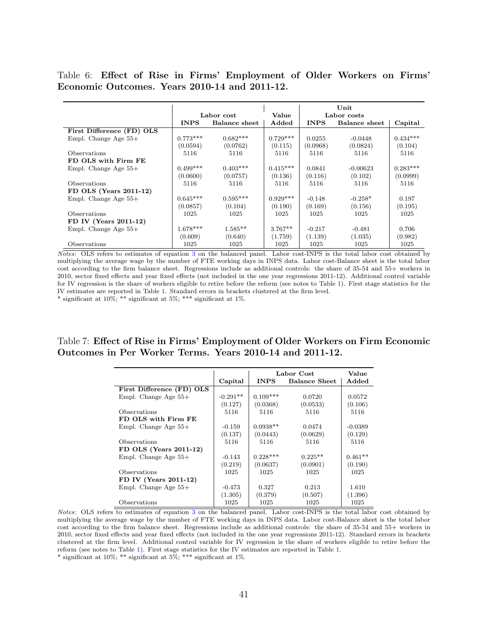Table 6: Effect of Rise in Firms' Employment of Older Workers on Firms' Economic Outcomes. Years 2010-14 and 2011-12.

<span id="page-41-0"></span>

|                           |             |                      |            |             | Unit                 |            |
|---------------------------|-------------|----------------------|------------|-------------|----------------------|------------|
|                           |             | Labor cost           | Value      |             | Labor costs          |            |
|                           | <b>INPS</b> | <b>Balance</b> sheet | Added      | <b>INPS</b> | <b>Balance</b> sheet | Capital    |
| First Difference (FD) OLS |             |                      |            |             |                      |            |
| Empl. Change Age $55+$    | $0.773***$  | $0.682***$           | $0.729***$ | 0.0255      | $-0.0448$            | $0.434***$ |
|                           | (0.0594)    | (0.0762)             | (0.115)    | (0.0968)    | (0.0824)             | (0.104)    |
| <b>Observations</b>       | 5116        | 5116                 | 5116       | 5116        | 5116                 | 5116       |
| FD OLS with Firm FE       |             |                      |            |             |                      |            |
| Empl. Change Age $55+$    | $0.499***$  | $0.403***$           | $0.415***$ | 0.0841      | $-0.00623$           | $0.283***$ |
|                           | (0.0600)    | (0.0757)             | (0.136)    | (0.116)     | (0.102)              | (0.0999)   |
| <b>Observations</b>       | 5116        | 5116                 | 5116       | 5116        | 5116                 | 5116       |
| FD OLS (Years $2011-12$ ) |             |                      |            |             |                      |            |
| Empl. Change Age $55+$    | $0.645***$  | $0.595***$           | $0.929***$ | $-0.148$    | $-0.258*$            | 0.197      |
|                           | (0.0857)    | (0.104)              | (0.190)    | (0.169)     | (0.156)              | (0.195)    |
| <b>Observations</b>       | 1025        | 1025                 | 1025       | 1025        | 1025                 | 1025       |
| FD IV (Years 2011-12)     |             |                      |            |             |                      |            |
| Empl. Change Age $55+$    | $1.678***$  | $1.585**$            | $3.767**$  | $-0.217$    | $-0.481$             | 0.706      |
|                           | (0.609)     | (0.640)              | (1.759)    | (1.139)     | (1.035)              | (0.982)    |
| Observations              | 1025        | 1025                 | 1025       | 1025        | 1025                 | 1025       |

Notes: OLS refers to estimates of equation [3](#page-13-1) on the balanced panel. Labor cost-INPS is the total labor cost obtained by multiplying the average wage by the number of FTE working days in INPS data. Labor cost-Balance sheet is the total labor cost according to the firm balance sheet. Regressions include as additional controls: the share of 35-54 and 55+ workers in 2010, sector fixed effects and year fixed effects (not included in the one year regressions 2011-12). Additional control variable for IV regression is the share of workers eligible to retire before the reform (see notes to Table [1\)](#page-38-0). First stage statistics for the IV estimates are reported in Table [1.](#page-38-0) Standard errors in brackets clustered at the firm level.

\* significant at  $10\%$ ; \*\* significant at  $5\%$ ; \*\*\* significant at  $1\%$ .

### <span id="page-41-1"></span>Table 7: Effect of Rise in Firms' Employment of Older Workers on Firm Economic Outcomes in Per Worker Terms. Years 2010-14 and 2011-12.

|                           |            |             | Labor Cost           | Value     |
|---------------------------|------------|-------------|----------------------|-----------|
|                           | Capital    | <b>INPS</b> | <b>Balance Sheet</b> | Added     |
| First Difference (FD) OLS |            |             |                      |           |
| Empl. Change Age $55+$    | $-0.291**$ | $0.109***$  | 0.0720               | 0.0572    |
|                           | (0.127)    | (0.0368)    | (0.0533)             | (0.106)   |
| Observations              | 5116       | 5116        | 5116                 | 5116      |
| FD OLS with Firm FE       |            |             |                      |           |
| Empl. Change Age $55+$    | $-0.159$   | $0.0938**$  | 0.0474               | $-0.0389$ |
|                           | (0.137)    | (0.0443)    | (0.0629)             | (0.129)   |
| Observations              | 5116       | 5116        | 5116                 | 5116      |
| FD OLS (Years 2011-12)    |            |             |                      |           |
| Empl. Change Age $55+$    | $-0.143$   | $0.228***$  | $0.225**$            | $0.461**$ |
|                           | (0.219)    | (0.0637)    | (0.0901)             | (0.190)   |
| Observations              | 1025       | 1025        | 1025                 | 1025      |
| FD IV (Years 2011-12)     |            |             |                      |           |
| Empl. Change Age $55+$    | $-0.473$   | 0.327       | 0.213                | 1.610     |
|                           | (1.305)    | (0.379)     | (0.507)              | (1.396)   |
| Observations              | 1025       | 1025        | 1025                 | 1025      |

Notes: OLS refers to estimates of equation [3](#page-13-1) on the balanced panel. Labor cost-INPS is the total labor cost obtained by multiplying the average wage by the number of FTE working days in INPS data. Labor cost-Balance sheet is the total labor cost according to the firm balance sheet. Regressions include as additional controls: the share of 35-54 and 55+ workers in 2010, sector fixed effects and year fixed effects (not included in the one year regressions 2011-12). Standard errors in brackets clustered at the firm level. Additional control variable for IV regression is the share of workers eligible to retire before the reform (see notes to Table [1\)](#page-38-0). First stage statistics for the IV estimates are reported in Table [1.](#page-38-0) \* significant at  $10\%$ ; \*\* significant at  $5\%$ ; \*\*\* significant at  $1\%$ .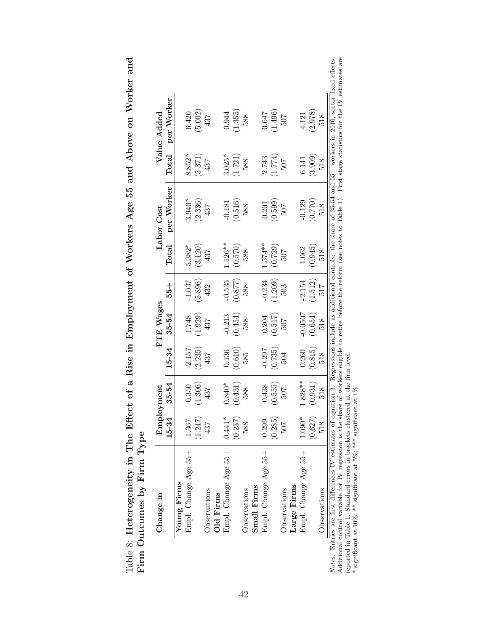| ne nozuvy                                       |                          |
|-------------------------------------------------|--------------------------|
| s Age 55 and Above on $\overline{\ }$           |                          |
| ≧                                               |                          |
|                                                 |                          |
| Heterogeneity in The Effect of a Rise in Employ |                          |
|                                                 | $\frac{1}{1}$<br>ľ       |
| $\cdot$ .                                       | $5 - 5$<br>$\frac{1}{2}$ |

| Change in            |                                              | Employment |                                               | FTE Wages                                              |                                               |            | Labor Cost                                             |                                               | Value Added                                   |
|----------------------|----------------------------------------------|------------|-----------------------------------------------|--------------------------------------------------------|-----------------------------------------------|------------|--------------------------------------------------------|-----------------------------------------------|-----------------------------------------------|
|                      | 15-34                                        | $35 - 54$  | 15-34                                         | $35 - 54$                                              | $-55 +$                                       | Total      | per Worker                                             | Total                                         | per Worker                                    |
| Young Firms          |                                              |            |                                               |                                                        |                                               |            |                                                        |                                               |                                               |
| Empl. Change Age 55+ |                                              | 0.350      | $-2.157$                                      |                                                        | $-1.037$                                      | $5.382*$   | $3.940*$                                               | $8.852*$                                      | 6.420                                         |
|                      | $\frac{1.367}{(1.247)}$ 437                  | (1.306)    |                                               | $\frac{1.748}{(1.929)}$ (1.929)                        | $\begin{array}{c} (5.896) \\ 432 \end{array}$ | (3.120)    | (2.336)                                                | $\begin{array}{c} (5.371) \\ 437 \end{array}$ | (5.002)                                       |
| Observations         |                                              | 437        | $\begin{array}{c} (2.235) \\ 437 \end{array}$ |                                                        |                                               | 437        | 437                                                    |                                               | 437                                           |
| Old Firms            |                                              |            |                                               |                                                        |                                               |            |                                                        |                                               |                                               |
| Empl. Change Age 55+ | $0.441*$                                     | $0.840*$   | 0.136                                         |                                                        | $-0.535$                                      | $-126**$   | $-0.181$                                               | $3.025*$                                      | 0.944                                         |
|                      | $(0.237)$ $588$                              | (0.431)    | (0.610)                                       | $\frac{-0.213}{(0.454)}$<br>588                        | $\begin{array}{c} (0.877) \\ 588 \end{array}$ | $(0.570)$  | $\begin{array}{c} (0.516) \\ 588 \end{array}$          | $\left( 1.721\right)$ $588$                   | (1.355)                                       |
| Observations         |                                              | 588        |                                               |                                                        |                                               | 588        |                                                        |                                               | 588                                           |
| Small Firms          |                                              |            |                                               |                                                        |                                               |            |                                                        |                                               |                                               |
| Empl. Change Age 55+ |                                              | 0.438      | $-0.297$                                      |                                                        |                                               | $1.574***$ |                                                        | 2.743                                         | 0.647                                         |
|                      | $\frac{(0.299)}{(0.285)}$<br>$\frac{507}{7}$ | (0.555)    | $\left(0.735\right)$ $504$                    | $\begin{array}{c} 0.204 \\ (0.517) \\ 507 \end{array}$ | $\frac{-0.234}{(1.209)}$                      | (0.729)    | $\begin{array}{c} 0.201 \\ (0.599) \\ 507 \end{array}$ | (1.774)                                       | $\begin{array}{c} (1.496) \\ 507 \end{array}$ |
| Observations         |                                              | <b>202</b> |                                               |                                                        |                                               | 507        |                                                        | 507                                           |                                               |
| Large Firms          |                                              |            |                                               |                                                        |                                               |            |                                                        |                                               |                                               |
| Empl. Change Age 55+ | $1.090*$                                     | $1.828**$  | 0.260                                         | $-0.0507$                                              | $-2.154$                                      | 1.062      | $-0.129$                                               | 6.141                                         | 4.121                                         |
|                      | (0.627)                                      | (0.931)    | $\begin{array}{c} (0.815) \\ 518 \end{array}$ | $(0.654)$ $518$                                        | $\left( 1.512\right)$ $517$                   | (0.945)    | $\left(0.770\right)$ $518$                             | $(3.909)$ $518$                               | (2.978)                                       |
| Observations         |                                              | 518        |                                               |                                                        |                                               | 518        |                                                        |                                               | 518                                           |

*Notes:* Entries are first differences IV estimates of equation 3. Regressions include as additional controls: the share of 35-54 and 55+ workers in 2010, sector fixed effects.<br>Additional control variable for IV regressio Notes: Entries are first differences IV estimates of equation [3.](#page-13-1) Regressions include as additional controls: the share of 35-54 and 55+ workers in 2010, sector fixed effects. Additional control variable for IV regression is the share of workers eligible to retire before the reform (see notes to Table [1\)](#page-38-0). First stage statistics for the IV estimates are reported in Table [1.](#page-38-0) Standard errors in brackets clustered at the firm level. \* significant at 10%; \*\* significant at 5%; \*\*\* significant at 1%.

<span id="page-42-0"></span>42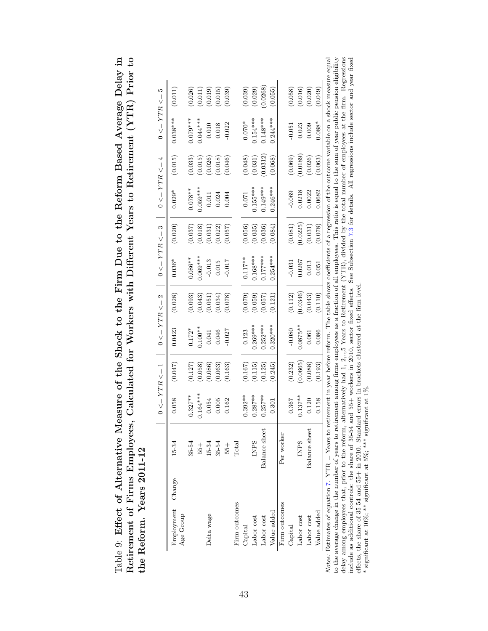<span id="page-43-0"></span>

| asure of the Shock to the Firm Due to the Reform Based Average Delay in | Calculated for Workers with Different Years to Retirement (YTR) Prior to |                   |
|-------------------------------------------------------------------------|--------------------------------------------------------------------------|-------------------|
|                                                                         |                                                                          |                   |
|                                                                         |                                                                          |                   |
|                                                                         |                                                                          |                   |
|                                                                         |                                                                          |                   |
|                                                                         |                                                                          |                   |
|                                                                         |                                                                          |                   |
|                                                                         |                                                                          |                   |
|                                                                         |                                                                          |                   |
|                                                                         |                                                                          | Years $2011 - 12$ |
| Table 9: Effect of Alternative Mea                                      | etirement of Firms Employees                                             |                   |
|                                                                         |                                                                          |                   |
|                                                                         |                                                                          |                   |
|                                                                         |                                                                          | the Reform.       |
|                                                                         |                                                                          |                   |

|                                |                | $0 \leq YTR \leq 1$ |          |             |          |            |          |            |          |            |         |
|--------------------------------|----------------|---------------------|----------|-------------|----------|------------|----------|------------|----------|------------|---------|
| Employment Change<br>Age Group | $15-34$        | 0.058               | (0.047)  | 0.0423      | (0.028)  | $0.036*$   | (0.020)  | $0.029*$   | (0.015)  | $0.038***$ | (0.011) |
|                                | 35-54          | $0.327***$          | (0.127)  | $0.172*$    | (0.093)  | $0.086***$ | (0.037)  | $0.078**$  | (0.033)  | $0.079***$ | (0.026) |
|                                | $+95$          | $0.164***$          | (0.058)  | $0.100**$   | (0.043)  | $0.069***$ | (0.018)  | $0.059***$ | (0.015)  | $0.044***$ | (0.011) |
| Delta wage                     | 15-34          | 0.054               | (0.086)  | 0.041       | (0.051)  | $-0.013$   | (0.031)  | 0.011      | (0.026)  | 0.010      | (0.019) |
|                                | 35-54          | 0.005               | (0.063)  | 0.046       | (0.034)  | 0.015      | (0.022)  | 0.024      | (0.018)  | 0.018      | (0.015) |
|                                | $+92$          | 0.162               | (0.163)  | $-0.027$    | (0.078)  | $-0.017$   | (0.057)  | 0.004      | (0.046)  | $-0.022$   | (0.039) |
| Firm outcomes                  | $_{\rm Total}$ |                     |          |             |          |            |          |            |          |            |         |
| Capital                        |                | $0.392***$          | (0.167)  | 0.123       | (0.079)  | $0.117***$ | (0.056)  | 0.071      | (0.048)  | $0.070*$   | (0.039) |
| Labor cost                     | <b>INPS</b>    | $0.287***$          | (0.115)  | $0.269***$  | (0.059)  | $0.168***$ | (0.035)  | $0.155***$ | (0.031)  | $0.154***$ | (0.029) |
| Labor cost                     | Balance sheet  | $.257***$           | (0.125)  | $0.252***$  | (0.057)  | $0.177***$ | (0.036)  | $0.149***$ | 0.0312   | $0.148***$ | 0.0268) |
| Value added                    |                | 0.301               | (0.245)  | $0.320***$  | (0.121)  | $0.254***$ | (0.084)  | $0.246***$ | (0.068)  | $0.244***$ | (0.055) |
| Firm outcomes                  | Per worker     |                     |          |             |          |            |          |            |          |            |         |
| Capital                        |                | 0.367               | (0.232)  | $-0.080$    | (0.112)  | $-0.031$   | (0.081)  | $-0.069$   | (0.069)  | $-0.051$   | (0.058) |
| Labor cost                     | <b>INPS</b>    | $0.137***$          | (0.0665) | $0.0875***$ | (0.0346) | 0.0267     | (0.0225) | 0.0218     | (0.0189) | 0.023      | (0.016) |
| Labor cost                     | Balance sheet  | 0.120               | (0.088)  | 0.061       | (0.043)  | 0.013      | (0.031)  | 0.0022     | (0.026)  | 0.009      | (0.020) |
| Value added                    |                | 0.158               | (0.193)  | 0.086       | (0.110)  | 0.051      | (0.078)  | 0.0682     | (0.063)  | $0.088*$   | (0.049) |

*Notes:* Estimates of equation 7. YTR = Years to retirement in year before reform. The table shows coefficients of a regression of the outcome variable on a shock measure equal to the average change in the number of years Notes: Estimates of equation [7.](#page-24-2) YTR = Years to retirement in year before reform. The table shows coefficients of a regression of the outcome variable on a shock measure equal  $\Delta t$ to the average change in the number of years to retirement among firms employees as a fraction of all employees. This ratio is equal to the sum of year public pension eligibility delay among employees that, prior to the reform, alternatively had 1, 2,..,5 Years to Retirement (YTR), divided by the total number of employees at the firm. Regressions include as additional controls: the share of 35-54 and 55+ workers in 2010, sector fixed effects. See Subsection [7.3](#page-23-0) for details. All regressions include sector and year fixed effects, the share of 35-54 and 55+ in 2010. Standard errors in brackets clustered at the firm level.

\* significant at 10%; \*\* significant at 5%; \*\*\* significant at 1%.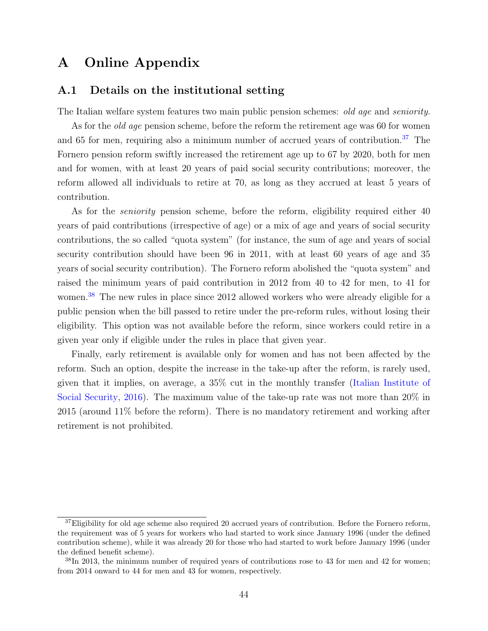# A Online Appendix

### <span id="page-44-0"></span>A.1 Details on the institutional setting

The Italian welfare system features two main public pension schemes: *old age* and *seniority*.

As for the *old age* pension scheme, before the reform the retirement age was 60 for women and 65 for men, requiring also a minimum number of accrued years of contribution.<sup>[37](#page-44-1)</sup> The Fornero pension reform swiftly increased the retirement age up to 67 by 2020, both for men and for women, with at least 20 years of paid social security contributions; moreover, the reform allowed all individuals to retire at 70, as long as they accrued at least 5 years of contribution.

As for the *seniority* pension scheme, before the reform, eligibility required either 40 years of paid contributions (irrespective of age) or a mix of age and years of social security contributions, the so called "quota system" (for instance, the sum of age and years of social security contribution should have been 96 in 2011, with at least 60 years of age and 35 years of social security contribution). The Fornero reform abolished the "quota system" and raised the minimum years of paid contribution in 2012 from 40 to 42 for men, to 41 for women.<sup>[38](#page-44-2)</sup> The new rules in place since 2012 allowed workers who were already eligible for a public pension when the bill passed to retire under the pre-reform rules, without losing their eligibility. This option was not available before the reform, since workers could retire in a given year only if eligible under the rules in place that given year.

Finally, early retirement is available only for women and has not been affected by the reform. Such an option, despite the increase in the take-up after the reform, is rarely used, given that it implies, on average, a 35% cut in the monthly transfer [\(Italian Institute of](#page-29-14) [Social Security,](#page-29-14) [2016\)](#page-29-14). The maximum value of the take-up rate was not more than 20% in 2015 (around 11% before the reform). There is no mandatory retirement and working after retirement is not prohibited.

<span id="page-44-1"></span> $37E$  Eligibility for old age scheme also required 20 accrued years of contribution. Before the Fornero reform, the requirement was of 5 years for workers who had started to work since January 1996 (under the defined contribution scheme), while it was already 20 for those who had started to work before January 1996 (under the defined benefit scheme).

<span id="page-44-2"></span> $38\text{In }2013$ , the minimum number of required years of contributions rose to 43 for men and 42 for women; from 2014 onward to 44 for men and 43 for women, respectively.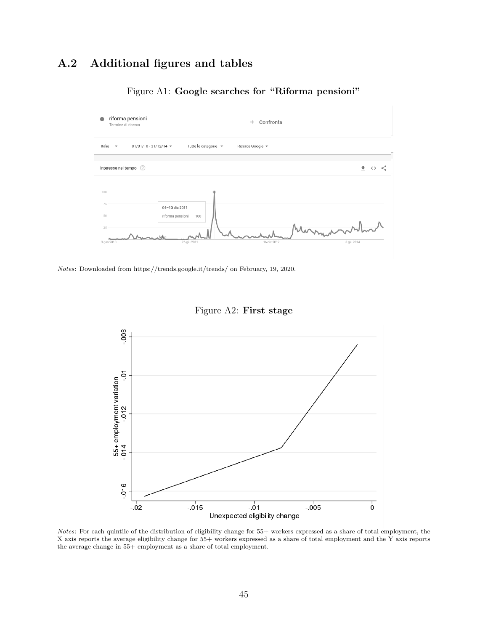# A.2 Additional figures and tables

<span id="page-45-0"></span>

### Figure A1: Google searches for "Riforma pensioni"

Notes: Downloaded from https://trends.google.it/trends/ on February, 19, 2020.

<span id="page-45-1"></span>

Figure A2: First stage

Notes: For each quintile of the distribution of eligibility change for 55+ workers expressed as a share of total employment, the X axis reports the average eligibility change for 55+ workers expressed as a share of total employment and the Y axis reports the average change in 55+ employment as a share of total employment.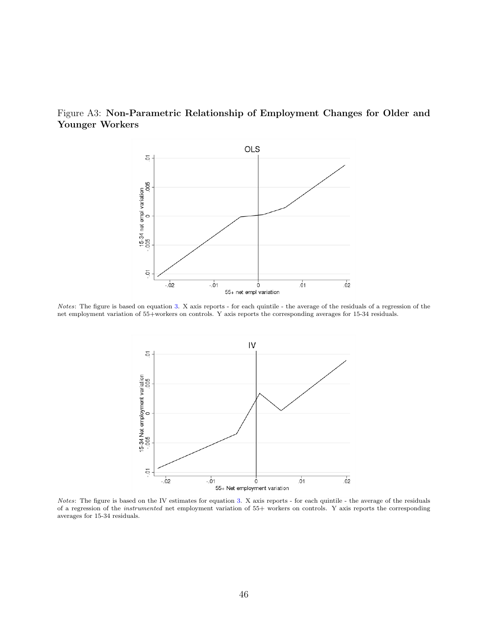<span id="page-46-0"></span>



Notes: The figure is based on equation [3.](#page-13-1) X axis reports - for each quintile - the average of the residuals of a regression of the net employment variation of 55+workers on controls. Y axis reports the corresponding averages for 15-34 residuals.



Notes: The figure is based on the IV estimates for equation [3.](#page-13-1) X axis reports - for each quintile - the average of the residuals of a regression of the instrumented net employment variation of 55+ workers on controls. Y axis reports the corresponding averages for 15-34 residuals.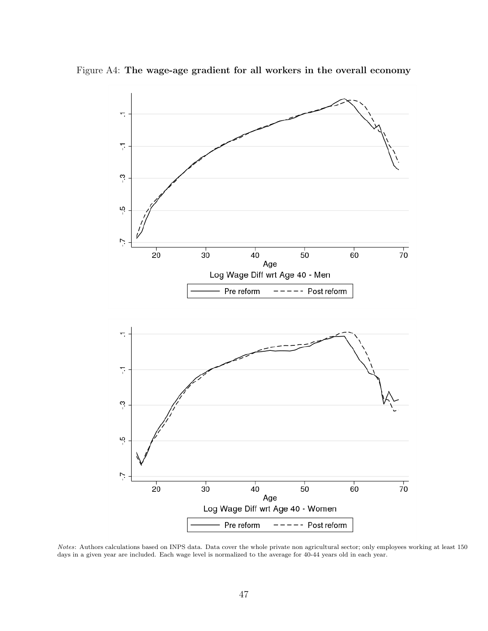

<span id="page-47-0"></span>Figure A4: The wage-age gradient for all workers in the overall economy

Notes: Authors calculations based on INPS data. Data cover the whole private non agricultural sector; only employees working at least 150 days in a given year are included. Each wage level is normalized to the average for 40-44 years old in each year.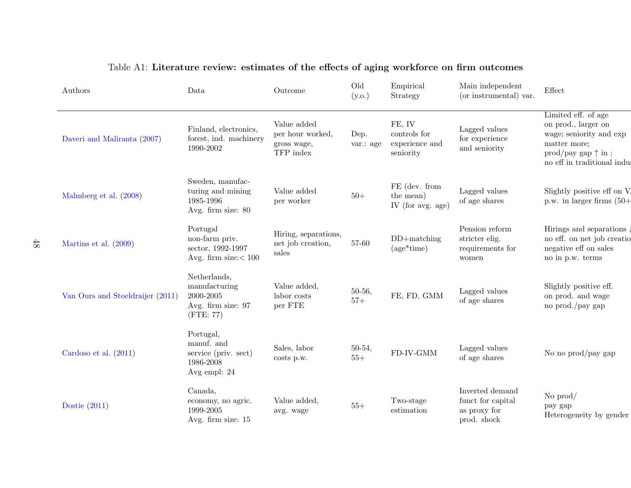<span id="page-48-0"></span>

| Authors                          | Data                                                                          | Outcome                                                     | Old<br>(y.o.)     | Empirical<br>Strategy                                 | Main independent<br>(or instrumental) var.                          | Effect                                                                                                                                                                    |
|----------------------------------|-------------------------------------------------------------------------------|-------------------------------------------------------------|-------------------|-------------------------------------------------------|---------------------------------------------------------------------|---------------------------------------------------------------------------------------------------------------------------------------------------------------------------|
| Daveri and Maliranta (2007)      | Finland, electronics,<br>forest, ind. machinery<br>1990-2002                  | Value added<br>per hour worked,<br>gross wage,<br>TFP index | Dep.<br>var.: age | FE, IV<br>controls for<br>experience and<br>seniority | Lagged values<br>for experience<br>and seniority                    | Limited eff. of age<br>on prod., larger on<br>wage; seniority and exp<br>matter more;<br>$\text{prod}/\text{pay gap} \uparrow \text{in}$ ;<br>no eff in traditional indus |
| Malmberg et al. (2008)           | Sweden, manufac-<br>turing and mining<br>1985-1996<br>Avg. firm size: 80      | Value added<br>per worker                                   | $50+$             | FE (dev. from<br>the mean)<br>IV (for avg. age)       | Lagged values<br>of age shares                                      | Slightly positive eff on V.<br>p.w. in larger firms $(50+)$                                                                                                               |
| Martins et al. $(2009)$          | Portugal<br>non-farm priv.<br>sector, 1992-1997<br>Avg. firm size: $< 100$    | Hiring, separations,<br>net job creation,<br>sales          | 57-60             | $DD + matching$<br>$(age*time)$                       | Pension reform<br>stricter elig.<br>requirements for<br>women       | Hirings and separations<br>no eff. on net job creatio<br>negative eff on sales<br>no in p.w. terms                                                                        |
| Van Ours and Stoeldraijer (2011) | Netherlands,<br>manufacturing<br>2000-2005<br>Avg. firm size: 97<br>(FTE: 77) | Value added,<br>labor costs<br>per FTE                      | $50-56,$<br>$57+$ | FE, FD, GMM                                           | Lagged values<br>of age shares                                      | Slightly positive eff.<br>on prod. and wage<br>no prod./pay gap                                                                                                           |
| Cardoso et al. $(2011)$          | Portugal,<br>manuf. and<br>service (priv. sect)<br>1986-2008<br>Avg empl: 24  | Sales, labor<br>costs p.w.                                  | $50-54,$<br>$55+$ | FD-IV-GMM                                             | Lagged values<br>of age shares                                      | No no prod/pay gap                                                                                                                                                        |
| Dostie $(2011)$                  | Canada,<br>economy, no agric.<br>1999-2005<br>Avg. firm size: 15              | Value added,<br>avg. wage                                   | $55+$             | Two-stage<br>estimation                               | Inverted demand<br>funct for capital<br>as proxy for<br>prod. shock | No $\text{prod}/$<br>pay gap<br>Heterogeneity by gender                                                                                                                   |

### Table A1: Literature review: estimates of the effects of aging workforce on firm outcomes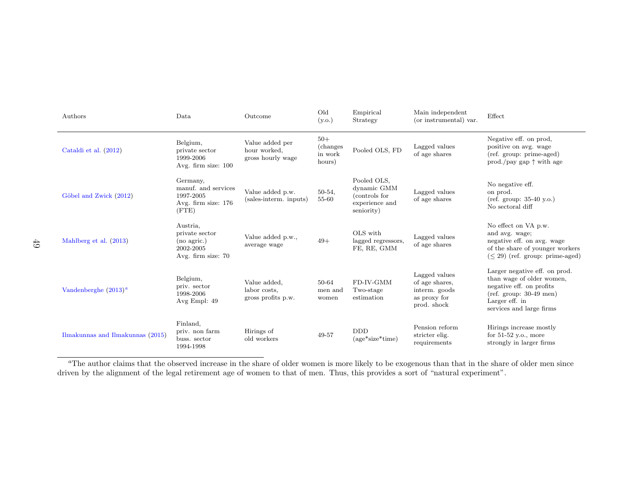| Authors                          | Data                                                                         | Outcome                                              | Old<br>(y.o.)                           | Empirical<br>Strategy                                                       | Main independent<br>(or instrumental) var.                                      | Effect                                                                                                                                                           |
|----------------------------------|------------------------------------------------------------------------------|------------------------------------------------------|-----------------------------------------|-----------------------------------------------------------------------------|---------------------------------------------------------------------------------|------------------------------------------------------------------------------------------------------------------------------------------------------------------|
| Cataldi et al. (2012)            | Belgium,<br>private sector<br>1999-2006<br>Avg. firm size: 100               | Value added per<br>hour worked.<br>gross hourly wage | $50+$<br>(changes)<br>in work<br>hours) | Pooled OLS, FD                                                              | Lagged values<br>of age shares                                                  | Negative eff. on prod,<br>positive on avg. wage<br>(ref. group: prime-aged)<br>prod./pay gap $\uparrow$ with age                                                 |
| Göbel and Zwick (2012)           | Germany,<br>manuf. and services<br>1997-2005<br>Avg. firm size: 176<br>(FTE) | Value added p.w.<br>(sales-interm. inputs)           | $50-54,$<br>55-60                       | Pooled OLS,<br>dynamic GMM<br>(controls for<br>experience and<br>seniority) | Lagged values<br>of age shares                                                  | No negative eff.<br>on prod.<br>$ref. group: 35-40 y.o.$<br>No sectoral diff                                                                                     |
| Mahlberg et al. (2013)           | Austria,<br>private sector<br>(no agric.)<br>2002-2005<br>Avg. firm size: 70 | Value added p.w.,<br>average wage                    | $49+$                                   | OLS with<br>lagged regressors,<br>FE, RE, GMM                               | Lagged values<br>of age shares                                                  | No effect on VA p.w.<br>and avg. wage;<br>negative eff. on avg. wage<br>of the share of younger workers<br>$(< 29)$ (ref. group: prime-aged)                     |
| Vandenberghe $(2013)^a$          | Belgium,<br>priv. sector<br>1998-2006<br>Avg Empl: 49                        | Value added,<br>labor costs.<br>gross profits p.w.   | 50-64<br>men and<br>women               | FD-IV-GMM<br>Two-stage<br>estimation                                        | Lagged values<br>of age shares,<br>interm. goods<br>as proxy for<br>prod. shock | Larger negative eff. on prod.<br>than wage of older women,<br>negative eff. on profits<br>$ref. group: 30-49$ men)<br>Larger eff. in<br>services and large firms |
| Ilmakunnas and Ilmakunnas (2015) | Finland,<br>priv. non farm<br>buss. sector<br>1994-1998                      | Hirings of<br>old workers                            | 49-57                                   | <b>DDD</b><br>$(age*size*time)$                                             | Pension reform<br>stricter elig.<br>requirements                                | Hirings increase mostly<br>for $51-52$ y.o., more<br>strongly in larger firms                                                                                    |

<span id="page-49-0"></span> $a<sup>a</sup>$ The author claims that the observed increase in the share of older women is more likely to be exogenous than that in the share of older men since driven by the alignment of the legal retirement age of women to that of men. Thus, this provides <sup>a</sup> sort of "natural experiment".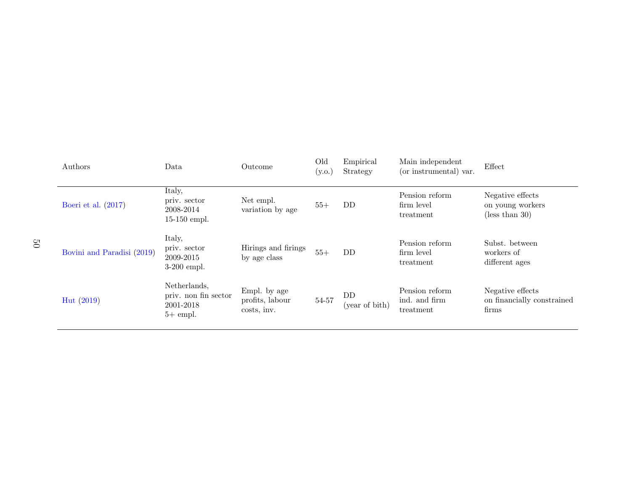| Authors                    | Data                                                            | Outcome                                        | Old<br>(y.o.) | Empirical<br>Strategy | Main independent<br>(or instrumental) var.   | Effect                                                           |
|----------------------------|-----------------------------------------------------------------|------------------------------------------------|---------------|-----------------------|----------------------------------------------|------------------------------------------------------------------|
| Boeri et al. $(2017)$      | Italy,<br>priv. sector<br>2008-2014<br>$15-150$ empl.           | Net empl.<br>variation by age                  | $55+$         | DD                    | Pension reform<br>firm level<br>treatment    | Negative effects<br>on young workers<br>$(\text{less than } 30)$ |
| Bovini and Paradisi (2019) | Italy,<br>priv. sector<br>2009-2015<br>$3-200$ empl.            | Hirings and firings<br>by age class            | $55+$         | DD                    | Pension reform<br>firm level<br>treatment    | Subst. between<br>workers of<br>different ages                   |
| Hut(2019)                  | Netherlands,<br>priv. non fin sector<br>2001-2018<br>$5+$ empl. | Empl. by age<br>profits, labour<br>costs, inv. | 54-57         | DD<br>(year of bith)  | Pension reform<br>ind. and firm<br>treatment | Negative effects<br>on financially constrained<br>firms          |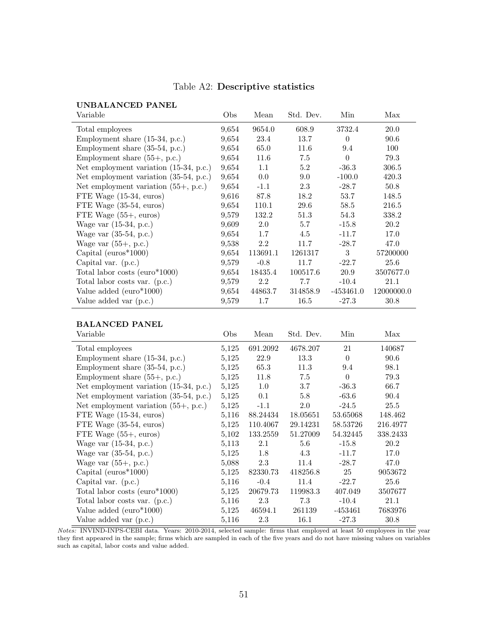| Variable                                      | Obs   | Mean     | Std. Dev. | Min         | Max        |
|-----------------------------------------------|-------|----------|-----------|-------------|------------|
| Total employees                               | 9,654 | 9654.0   | 608.9     | 3732.4      | 20.0       |
| Employment share $(15-34, p.c.)$              | 9,654 | 23.4     | 13.7      | $\Omega$    | 90.6       |
| Employment share $(35-54, p.c.)$              | 9,654 | 65.0     | 11.6      | 9.4         | 100        |
| Employment share $(55+, p.c.)$                | 9,654 | 11.6     | 7.5       | $\theta$    | 79.3       |
| Net employment variation (15-34, p.c.)        | 9,654 | 1.1      | 5.2       | $-36.3$     | 306.5      |
| Net employment variation (35-54, p.c.)        | 9,654 | 0.0      | 9.0       | $-100.0$    | 420.3      |
| Net employment variation $(55+, \text{p.c.})$ | 9,654 | $-1.1$   | 2.3       | $-28.7$     | 50.8       |
| FTE Wage $(15-34, \text{ euros})$             | 9,616 | 87.8     | 18.2      | 53.7        | 148.5      |
| FTE Wage $(35-54, \text{ euros})$             | 9,654 | 110.1    | 29.6      | 58.5        | 216.5      |
| FTE Wage $(55+$ , euros)                      | 9,579 | 132.2    | 51.3      | 54.3        | 338.2      |
| Wage var $(15-34, p.c.)$                      | 9,609 | 2.0      | 5.7       | $-15.8$     | 20.2       |
| Wage var $(35-54, p.c.)$                      | 9,654 | 1.7      | 4.5       | $-11.7$     | 17.0       |
| Wage var $(55+, p.c.)$                        | 9,538 | 2.2      | 11.7      | $-28.7$     | 47.0       |
| Capital ( $\text{euros*1000}$ )               | 9,654 | 113691.1 | 1261317   | 3           | 57200000   |
| Capital var. $(p.c.)$                         | 9,579 | $-0.8$   | 11.7      | $-22.7$     | 25.6       |
| Total labor costs ( $euro*1000$ )             | 9,654 | 18435.4  | 100517.6  | 20.9        | 3507677.0  |
| Total labor costs var. (p.c.)                 | 9,579 | 2.2      | 7.7       | $-10.4$     | 21.1       |
| Value added (euro*1000)                       | 9,654 | 44863.7  | 314858.9  | $-453461.0$ | 12000000.0 |
| Value added var (p.c.)                        | 9,579 | 1.7      | 16.5      | $-27.3$     | 30.8       |

### Table A2: Descriptive statistics

#### BALANCED PANEL

<span id="page-51-0"></span>UNBALANCED PANEL

| Variable                                 | Obs   | Mean     | Std. Dev. | Min       | Max      |
|------------------------------------------|-------|----------|-----------|-----------|----------|
| Total employees                          | 5,125 | 691.2092 | 4678.207  | 21        | 140687   |
| Employment share $(15-34, p.c.)$         | 5,125 | 22.9     | 13.3      | $\Omega$  | 90.6     |
| Employment share $(35-54, p.c.)$         | 5,125 | 65.3     | 11.3      | 9.4       | 98.1     |
| Employment share $(55+, p.c.)$           | 5,125 | 11.8     | 7.5       | $\theta$  | 79.3     |
| Net employment variation $(15-34, p.c.)$ | 5,125 | $1.0\,$  | 3.7       | $-36.3$   | 66.7     |
| Net employment variation $(35-54, p.c.)$ | 5,125 | 0.1      | 5.8       | $-63.6$   | 90.4     |
| Net employment variation $(55+, p.c.)$   | 5,125 | $-1.1$   | 2.0       | $-24.5$   | 25.5     |
| FTE Wage $(15-34, \text{ euros})$        | 5,116 | 88.24434 | 18.05651  | 53.65068  | 148.462  |
| FTE Wage $(35-54, \text{ euros})$        | 5,125 | 110.4067 | 29.14231  | 58.53726  | 216.4977 |
| FTE Wage $(55+$ , euros)                 | 5,102 | 133.2559 | 51.27009  | 54.32445  | 338.2433 |
| Wage var $(15-34, p.c.)$                 | 5,113 | 2.1      | $5.6\,$   | $-15.8$   | 20.2     |
| Wage var $(35-54, p.c.)$                 | 5,125 | 1.8      | 4.3       | $-11.7$   | 17.0     |
| Wage var $(55+, p.c.)$                   | 5,088 | 2.3      | 11.4      | $-28.7$   | 47.0     |
| Capital ( $\text{euros*1000}$ )          | 5,125 | 82330.73 | 418256.8  | 25        | 9053672  |
| Capital var. $(p.c.)$                    | 5,116 | $-0.4$   | 11.4      | $-22.7$   | 25.6     |
| Total labor costs ( $euro*1000$ )        | 5,125 | 20679.73 | 119983.3  | 407.049   | 3507677  |
| Total labor costs var. (p.c.)            | 5,116 | 2.3      | 7.3       | $-10.4$   | 21.1     |
| Value added $(euro*1000)$                | 5,125 | 46594.1  | 261139    | $-453461$ | 7683976  |
| Value added var (p.c.)                   | 5,116 | 2.3      | 16.1      | $-27.3$   | 30.8     |

Notes: INVIND-INPS-CEBI data. Years: 2010-2014, selected sample: firms that employed at least 50 employees in the year they first appeared in the sample; firms which are sampled in each of the five years and do not have missing values on variables such as capital, labor costs and value added.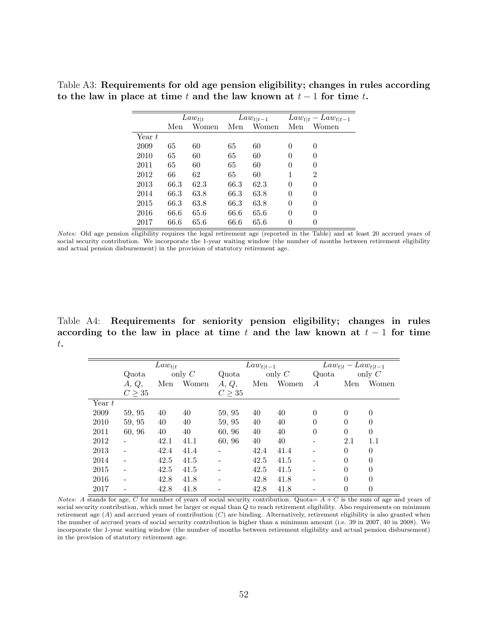<span id="page-52-0"></span>Table A3: Requirements for old age pension eligibility; changes in rules according to the law in place at time t and the law known at  $t-1$  for time t.

|          |      | $Law_{t t}$ |      | $Law_{t t-1}$ |                  | $Law_{t t} - Law_{t t-1}$ |
|----------|------|-------------|------|---------------|------------------|---------------------------|
|          | Men  | Women       | Men  | Women         | Men              | Women                     |
| Year $t$ |      |             |      |               |                  |                           |
| 2009     | 65   | 60          | 65   | 60            | $\theta$         | 0                         |
| 2010     | 65   | 60          | 65   | 60            | $\left( \right)$ | 0                         |
| 2011     | 65   | 60          | 65   | 60            | $\theta$         | 0                         |
| 2012     | 66   | 62          | 65   | 60            | 1                | 2                         |
| 2013     | 66.3 | 62.3        | 66.3 | 62.3          | $\theta$         | $\theta$                  |
| 2014     | 66.3 | 63.8        | 66.3 | 63.8          | $\theta$         | $\theta$                  |
| 2015     | 66.3 | 63.8        | 66.3 | 63.8          | $\theta$         | $\theta$                  |
| 2016     | 66.6 | 65.6        | 66.6 | 65.6          | $\theta$         | $\theta$                  |
| 2017     | 66.6 | 65.6        | 66.6 | 65.6          | $\theta$         |                           |

Notes: Old age pension eligibility requires the legal retirement age (reported in the Table) and at least 20 accrued years of social security contribution. We incorporate the 1-year waiting window (the number of months between retirement eligibility and actual pension disbursement) in the provision of statutory retirement age.

Table A4: Requirements for seniority pension eligibility; changes in rules according to the law in place at time t and the law known at  $t-1$  for time t.

<span id="page-52-1"></span>

|          |             | $Law_{t t}$ |          |        | $Law_{t t-1}$ |          |          | $Law_{t t} - Law_{t t-1}$ |          |
|----------|-------------|-------------|----------|--------|---------------|----------|----------|---------------------------|----------|
|          | Quota       |             | only $C$ | Quota  |               | only $C$ | Quota    |                           | only $C$ |
|          | A, Q,       | Men         | Women    | A, Q,  | Men           | Women    | А        | Men                       | Women    |
|          | $C \geq 35$ |             |          | C > 35 |               |          |          |                           |          |
| Year $t$ |             |             |          |        |               |          |          |                           |          |
| 2009     | 59, 95      | 40          | 40       | 59, 95 | 40            | 40       | $\theta$ | $\Omega$                  | $\theta$ |
| 2010     | 59, 95      | 40          | 40       | 59, 95 | 40            | 40       | $\theta$ | $\theta$                  | $\theta$ |
| 2011     | 60, 96      | 40          | 40       | 60, 96 | 40            | 40       | $\theta$ | $\theta$                  | $\theta$ |
| 2012     |             | 42.1        | 41.1     | 60, 96 | 40            | 40       |          | 2.1                       | 1.1      |
| 2013     |             | 42.4        | 41.4     |        | 42.4          | 41.4     |          | $\theta$                  | $\theta$ |
| 2014     |             | 42.5        | 41.5     |        | 42.5          | 41.5     |          | $\Omega$                  | $\Omega$ |
| 2015     |             | 42.5        | 41.5     |        | 42.5          | 41.5     |          | $\theta$                  | $\theta$ |
| 2016     |             | 42.8        | 41.8     |        | 42.8          | 41.8     |          | $\Omega$                  | $\theta$ |
| 2017     |             | 42.8        | 41.8     |        | 42.8          | 41.8     |          | $\theta$                  | $\theta$ |

Notes: A stands for age, C for number of years of social security contribution. Quota=  $A + C$  is the sum of age and years of social security contribution, which must be larger or equal than Q to reach retirement eligibility. Also requirements on minimum retirement age  $(A)$  and accrued years of contribution  $(C)$  are binding. Alternatively, retirement eligibility is also granted when the number of accrued years of social security contribution is higher than a minimum amount (i.e. 39 in 2007, 40 in 2008). We incorporate the 1-year waiting window (the number of months between retirement eligibility and actual pension disbursement) in the provision of statutory retirement age.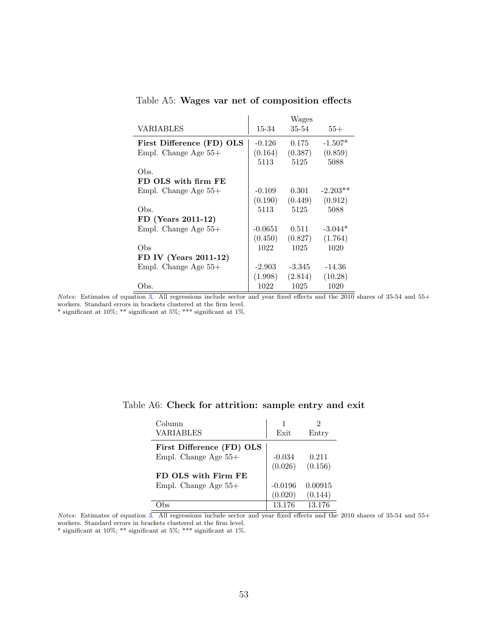<span id="page-53-0"></span>

|                           |           | Wages    |            |
|---------------------------|-----------|----------|------------|
| VARIABLES                 | 15-34     | 35-54    | $55+$      |
| First Difference (FD) OLS | $-0.126$  | 0.175    | $-1.507*$  |
| Empl. Change Age $55+$    | (0.164)   | (0.387)  | (0.859)    |
|                           | 5113      | 5125     | 5088       |
| Obs.                      |           |          |            |
| FD OLS with firm FE       |           |          |            |
| Empl. Change Age $55+$    | $-0.109$  | 0.301    | $-2.203**$ |
|                           | (0.190)   | (0.449)  | (0.912)    |
| Obs.                      | 5113      | 5125     | 5088       |
| FD (Years 2011-12)        |           |          |            |
| Empl. Change Age $55+$    | $-0.0651$ | 0.511    | $-3.044*$  |
|                           | (0.450)   | (0.827)  | (1.764)    |
| Obs                       | 1022      | 1025     | 1020       |
| FD IV (Years 2011-12)     |           |          |            |
| Empl. Change Age $55+$    | $-2.903$  | $-3.345$ | $-14.36$   |
|                           | (1.998)   | (2.814)  | (10.28)    |
| Obs.                      | 1022      | 1025     | 1020       |

Table A5: Wages var net of composition effects

Notes: Estimates of equation [3.](#page-13-1) All regressions include sector and year fixed effects and the 2010 shares of 35-54 and 55+ workers. Standard errors in brackets clustered at the firm level.

\* significant at 10%; \*\* significant at 5%; \*\*\* significant at 1%.

 $\overline{a}$ 

| Column                    |           |         |
|---------------------------|-----------|---------|
| VARIABLES                 | Exit      | Entry   |
| First Difference (FD) OLS |           |         |
| Empl. Change Age $55+$    | $-0.034$  | 0.211   |
|                           | (0.026)   | (0.156) |
| FD OLS with Firm FE       |           |         |
| Empl. Change Age 55+      | $-0.0196$ | 0.00915 |
|                           | (0.020)   | (0.144) |
|                           | 13.176    | 13.176  |

<span id="page-53-1"></span>

|  |  | Table A6: Check for attrition: sample entry and exit |  |  |  |  |
|--|--|------------------------------------------------------|--|--|--|--|
|--|--|------------------------------------------------------|--|--|--|--|

Notes: Estimates of equation [3.](#page-13-1) All regressions include sector and year fixed effects and the 2010 shares of 35-54 and 55+ workers. Standard errors in brackets clustered at the firm level.

 $^*$  significant at 10%;  $^{**}$  significant at 5%;  $^{***}$  significant at 1%.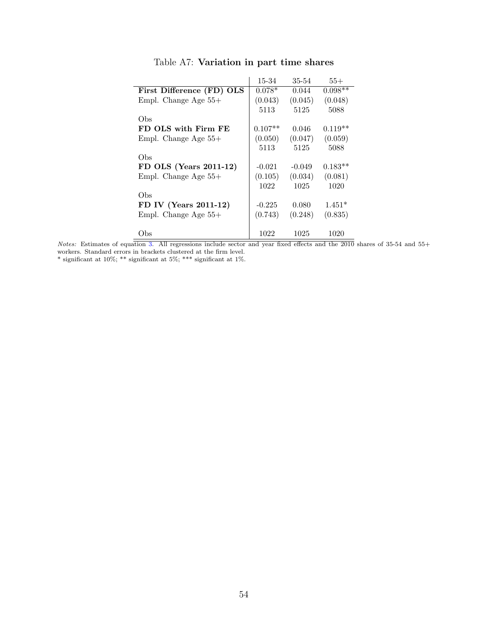|                           | 15-34     | 35-54    | $55+$     |
|---------------------------|-----------|----------|-----------|
| First Difference (FD) OLS | $0.078*$  | 0.044    | $0.098**$ |
| Empl. Change Age $55+$    | (0.043)   | (0.045)  | (0.048)   |
|                           | 5113      | 5125     | 5088      |
| Obs                       |           |          |           |
| FD OLS with Firm FE       | $0.107**$ | 0.046    | $0.119**$ |
| Empl. Change Age $55+$    | (0.050)   | (0.047)  | (0.059)   |
|                           | 5113      | 5125     | 5088      |
| Obs                       |           |          |           |
| FD OLS (Years 2011-12)    | $-0.021$  | $-0.049$ | $0.183**$ |
| Empl. Change Age $55+$    | (0.105)   | (0.034)  | (0.081)   |
|                           | 1022      | 1025     | 1020      |
| Obs                       |           |          |           |
| FD IV (Years 2011-12)     | $-0.225$  | 0.080    | $1.451*$  |
| Empl. Change Age $55+$    | (0.743)   | (0.248)  | (0.835)   |
|                           |           |          |           |
| Obs                       | 1022      | 1025     | 1020      |

### Table A7: Variation in part time shares

Notes: Estimates of equation [3.](#page-13-1) All regressions include sector and year fixed effects and the 2010 shares of 35-54 and 55+ workers. Standard errors in brackets clustered at the firm level.

 $^*$  significant at 10%;  $^{**}$  significant at 5%;  $^{***}$  significant at 1%.